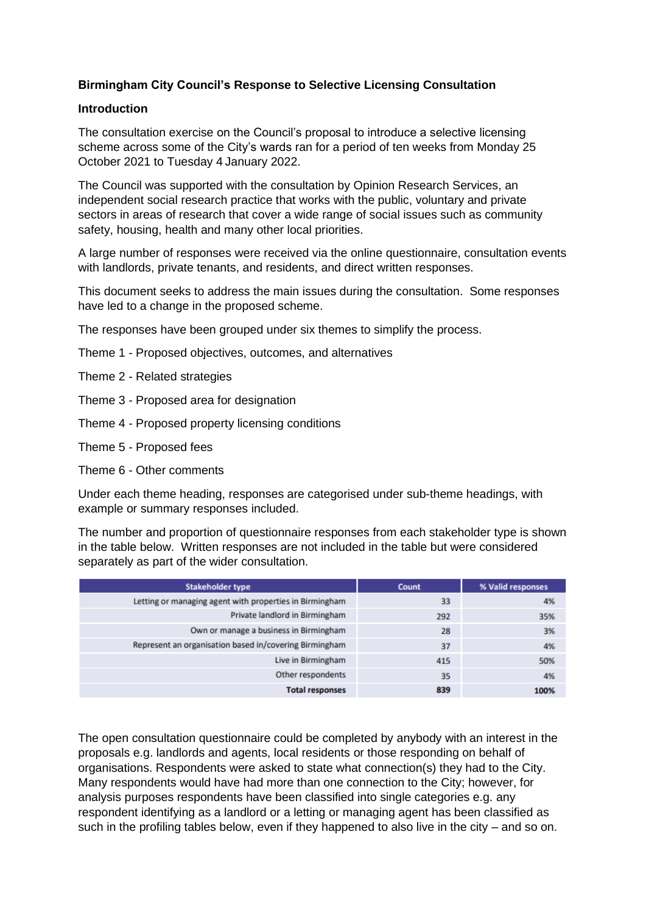### **Birmingham City Council's Response to Selective Licensing Consultation**

#### **Introduction**

The consultation exercise on the Council's proposal to introduce a selective licensing scheme across some of the City's wards ran for a period of ten weeks from Monday 25 October 2021 to Tuesday 4 January 2022.

The Council was supported with the consultation by Opinion Research Services, an independent social research practice that works with the public, voluntary and private sectors in [areas of research](https://www.ors.org.uk/areas_of_research.php) that cover a wide range of social issues such as community safety, housing, health and many other local priorities.

A large number of responses were received via the online questionnaire, consultation events with landlords, private tenants, and residents, and direct written responses.

This document seeks to address the main issues during the consultation. Some responses have led to a change in the proposed scheme.

The responses have been grouped under six themes to simplify the process.

- Theme 1 Proposed objectives, outcomes, and alternatives
- Theme 2 Related strategies
- Theme 3 Proposed area for designation
- Theme 4 Proposed property licensing conditions
- Theme 5 Proposed fees
- Theme 6 Other comments

Under each theme heading, responses are categorised under sub-theme headings, with example or summary responses included.

The number and proportion of questionnaire responses from each stakeholder type is shown in the table below. Written responses are not included in the table but were considered separately as part of the wider consultation.

| <b>Stakeholder type</b>                                 | Count | % Valid responses |
|---------------------------------------------------------|-------|-------------------|
| Letting or managing agent with properties in Birmingham | 33    | 4%                |
| Private landlord in Birmingham                          | 292   | 35%               |
| Own or manage a business in Birmingham                  | 28    | 3%                |
| Represent an organisation based in/covering Birmingham  | 37    | 4%                |
| Live in Birmingham                                      | 415   | 50%               |
| Other respondents                                       | 35    | 4%                |
| <b>Total responses</b>                                  | 839   | 100%              |

The open consultation questionnaire could be completed by anybody with an interest in the proposals e.g. landlords and agents, local residents or those responding on behalf of organisations. Respondents were asked to state what connection(s) they had to the City. Many respondents would have had more than one connection to the City; however, for analysis purposes respondents have been classified into single categories e.g. any respondent identifying as a landlord or a letting or managing agent has been classified as such in the profiling tables below, even if they happened to also live in the city – and so on.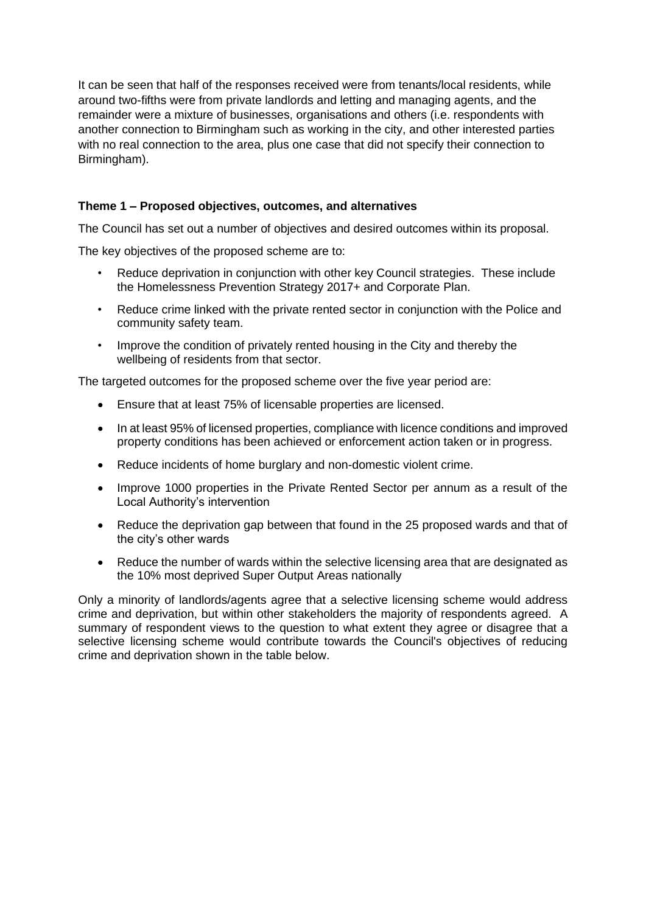It can be seen that half of the responses received were from tenants/local residents, while around two-fifths were from private landlords and letting and managing agents, and the remainder were a mixture of businesses, organisations and others (i.e. respondents with another connection to Birmingham such as working in the city, and other interested parties with no real connection to the area, plus one case that did not specify their connection to Birmingham).

## **Theme 1 – Proposed objectives, outcomes, and alternatives**

The Council has set out a number of objectives and desired outcomes within its proposal.

The key objectives of the proposed scheme are to:

- Reduce deprivation in conjunction with other key Council strategies. These include the Homelessness Prevention Strategy 2017+ and Corporate Plan.
- Reduce crime linked with the private rented sector in conjunction with the Police and community safety team.
- Improve the condition of privately rented housing in the City and thereby the wellbeing of residents from that sector.

The targeted outcomes for the proposed scheme over the five year period are:

- Ensure that at least 75% of licensable properties are licensed.
- In at least 95% of licensed properties, compliance with licence conditions and improved property conditions has been achieved or enforcement action taken or in progress.
- Reduce incidents of home burglary and non-domestic violent crime.
- Improve 1000 properties in the Private Rented Sector per annum as a result of the Local Authority's intervention
- Reduce the deprivation gap between that found in the 25 proposed wards and that of the city's other wards
- Reduce the number of wards within the selective licensing area that are designated as the 10% most deprived Super Output Areas nationally

Only a minority of landlords/agents agree that a selective licensing scheme would address crime and deprivation, but within other stakeholders the majority of respondents agreed. A summary of respondent views to the question to what extent they agree or disagree that a selective licensing scheme would contribute towards the Council's objectives of reducing crime and deprivation shown in the table below.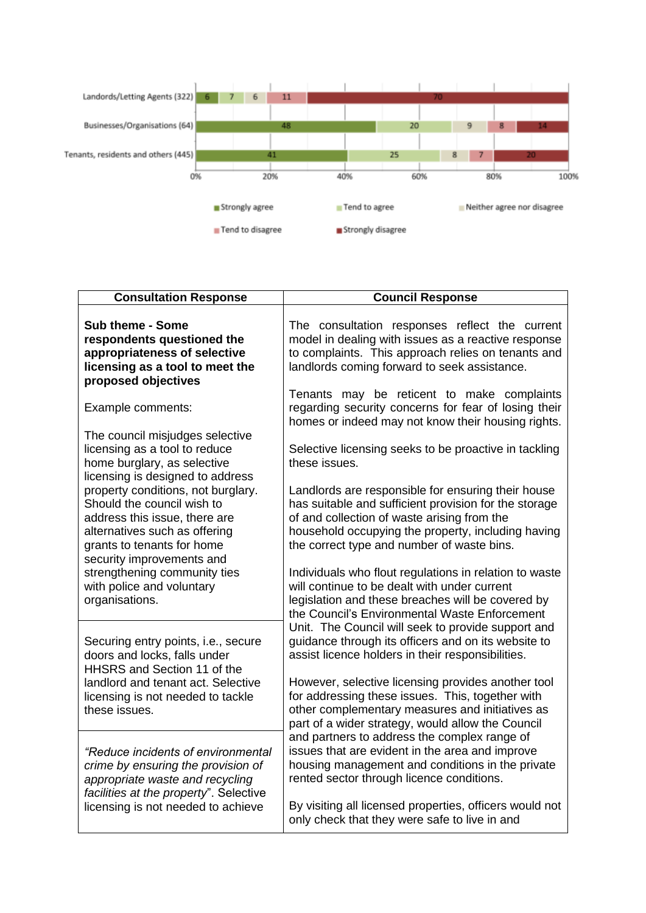

| <b>Consultation Response</b>                                                                                                                                                                  | <b>Council Response</b>                                                                                                                                                                                                                                        |
|-----------------------------------------------------------------------------------------------------------------------------------------------------------------------------------------------|----------------------------------------------------------------------------------------------------------------------------------------------------------------------------------------------------------------------------------------------------------------|
| Sub theme - Some<br>respondents questioned the<br>appropriateness of selective<br>licensing as a tool to meet the<br>proposed objectives                                                      | The consultation responses reflect the current<br>model in dealing with issues as a reactive response<br>to complaints. This approach relies on tenants and<br>landlords coming forward to seek assistance.                                                    |
| Example comments:                                                                                                                                                                             | Tenants may be reticent to make complaints<br>regarding security concerns for fear of losing their<br>homes or indeed may not know their housing rights.                                                                                                       |
| The council misjudges selective<br>licensing as a tool to reduce<br>home burglary, as selective<br>licensing is designed to address                                                           | Selective licensing seeks to be proactive in tackling<br>these issues.                                                                                                                                                                                         |
| property conditions, not burglary.<br>Should the council wish to<br>address this issue, there are<br>alternatives such as offering<br>grants to tenants for home<br>security improvements and | Landlords are responsible for ensuring their house<br>has suitable and sufficient provision for the storage<br>of and collection of waste arising from the<br>household occupying the property, including having<br>the correct type and number of waste bins. |
| strengthening community ties<br>with police and voluntary<br>organisations.                                                                                                                   | Individuals who flout regulations in relation to waste<br>will continue to be dealt with under current<br>legislation and these breaches will be covered by<br>the Council's Environmental Waste Enforcement                                                   |
| Securing entry points, i.e., secure<br>doors and locks, falls under<br>HHSRS and Section 11 of the                                                                                            | Unit. The Council will seek to provide support and<br>guidance through its officers and on its website to<br>assist licence holders in their responsibilities.                                                                                                 |
| landlord and tenant act. Selective<br>licensing is not needed to tackle<br>these issues.                                                                                                      | However, selective licensing provides another tool<br>for addressing these issues. This, together with<br>other complementary measures and initiatives as<br>part of a wider strategy, would allow the Council                                                 |
| "Reduce incidents of environmental<br>crime by ensuring the provision of<br>appropriate waste and recycling<br>facilities at the property". Selective                                         | and partners to address the complex range of<br>issues that are evident in the area and improve<br>housing management and conditions in the private<br>rented sector through licence conditions.                                                               |
| licensing is not needed to achieve                                                                                                                                                            | By visiting all licensed properties, officers would not<br>only check that they were safe to live in and                                                                                                                                                       |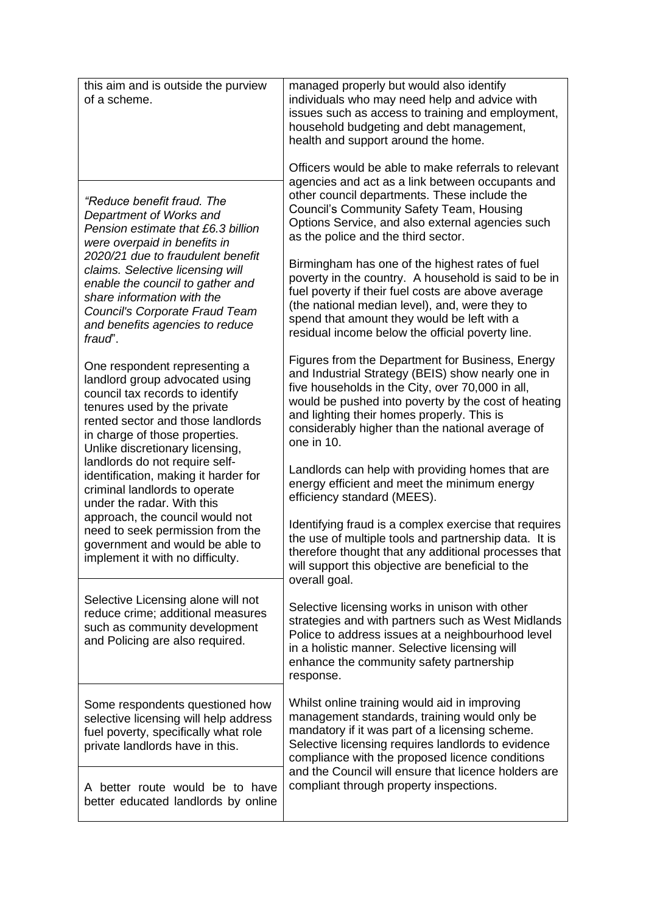| this aim and is outside the purview<br>of a scheme.                                                                                                                                                                                         | managed properly but would also identify<br>individuals who may need help and advice with<br>issues such as access to training and employment,<br>household budgeting and debt management,<br>health and support around the home.                                                                                                |
|---------------------------------------------------------------------------------------------------------------------------------------------------------------------------------------------------------------------------------------------|----------------------------------------------------------------------------------------------------------------------------------------------------------------------------------------------------------------------------------------------------------------------------------------------------------------------------------|
| "Reduce benefit fraud. The<br>Department of Works and<br>Pension estimate that £6.3 billion<br>were overpaid in benefits in                                                                                                                 | Officers would be able to make referrals to relevant<br>agencies and act as a link between occupants and<br>other council departments. These include the<br><b>Council's Community Safety Team, Housing</b><br>Options Service, and also external agencies such<br>as the police and the third sector.                           |
| 2020/21 due to fraudulent benefit<br>claims. Selective licensing will<br>enable the council to gather and<br>share information with the<br>Council's Corporate Fraud Team<br>and benefits agencies to reduce<br>fraud".                     | Birmingham has one of the highest rates of fuel<br>poverty in the country. A household is said to be in<br>fuel poverty if their fuel costs are above average<br>(the national median level), and, were they to<br>spend that amount they would be left with a<br>residual income below the official poverty line.               |
| One respondent representing a<br>landlord group advocated using<br>council tax records to identify<br>tenures used by the private<br>rented sector and those landlords<br>in charge of those properties.<br>Unlike discretionary licensing, | Figures from the Department for Business, Energy<br>and Industrial Strategy (BEIS) show nearly one in<br>five households in the City, over 70,000 in all,<br>would be pushed into poverty by the cost of heating<br>and lighting their homes properly. This is<br>considerably higher than the national average of<br>one in 10. |
| landlords do not require self-<br>identification, making it harder for<br>criminal landlords to operate<br>under the radar. With this                                                                                                       | Landlords can help with providing homes that are<br>energy efficient and meet the minimum energy<br>efficiency standard (MEES).                                                                                                                                                                                                  |
| approach, the council would not<br>need to seek permission from the<br>government and would be able to<br>implement it with no difficulty.                                                                                                  | Identifying fraud is a complex exercise that requires<br>the use of multiple tools and partnership data. It is<br>therefore thought that any additional processes that<br>will support this objective are beneficial to the<br>overall goal.                                                                                     |
| Selective Licensing alone will not<br>reduce crime; additional measures<br>such as community development<br>and Policing are also required.                                                                                                 | Selective licensing works in unison with other<br>strategies and with partners such as West Midlands<br>Police to address issues at a neighbourhood level<br>in a holistic manner. Selective licensing will<br>enhance the community safety partnership<br>response.                                                             |
| Some respondents questioned how<br>selective licensing will help address<br>fuel poverty, specifically what role<br>private landlords have in this.                                                                                         | Whilst online training would aid in improving<br>management standards, training would only be<br>mandatory if it was part of a licensing scheme.<br>Selective licensing requires landlords to evidence<br>compliance with the proposed licence conditions                                                                        |
| A better route would be to have<br>better educated landlords by online                                                                                                                                                                      | and the Council will ensure that licence holders are<br>compliant through property inspections.                                                                                                                                                                                                                                  |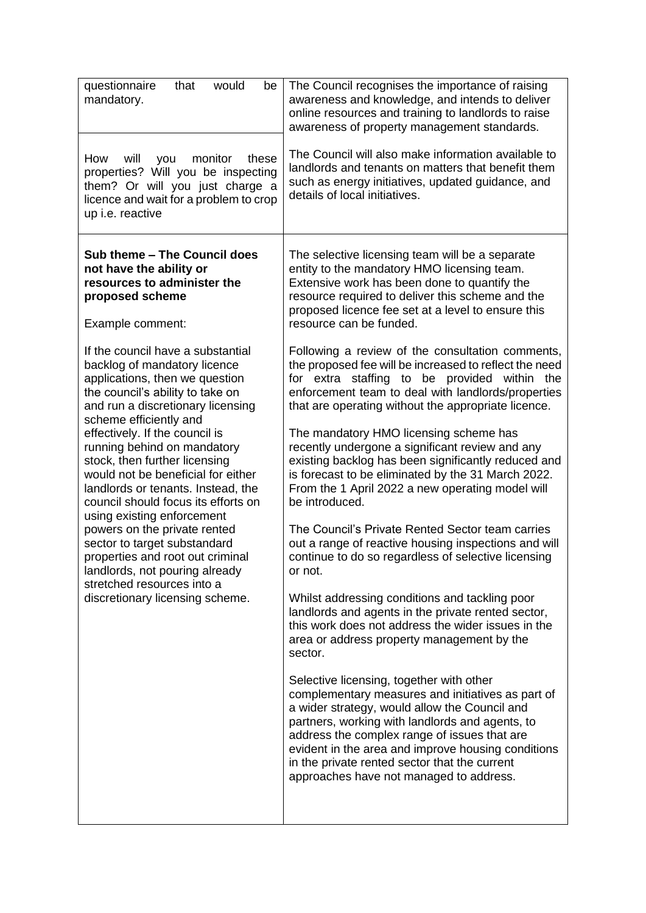| questionnaire<br>that<br>would<br>be<br>mandatory.                                                                                                                                                                                              | The Council recognises the importance of raising<br>awareness and knowledge, and intends to deliver<br>online resources and training to landlords to raise<br>awareness of property management standards.                                                                                                                                                                                           |
|-------------------------------------------------------------------------------------------------------------------------------------------------------------------------------------------------------------------------------------------------|-----------------------------------------------------------------------------------------------------------------------------------------------------------------------------------------------------------------------------------------------------------------------------------------------------------------------------------------------------------------------------------------------------|
| monitor<br>How<br>will<br>these<br>you<br>properties? Will you be inspecting<br>them? Or will you just charge a<br>licence and wait for a problem to crop<br>up i.e. reactive                                                                   | The Council will also make information available to<br>landlords and tenants on matters that benefit them<br>such as energy initiatives, updated guidance, and<br>details of local initiatives.                                                                                                                                                                                                     |
| Sub theme - The Council does<br>not have the ability or<br>resources to administer the<br>proposed scheme<br>Example comment:                                                                                                                   | The selective licensing team will be a separate<br>entity to the mandatory HMO licensing team.<br>Extensive work has been done to quantify the<br>resource required to deliver this scheme and the<br>proposed licence fee set at a level to ensure this<br>resource can be funded.                                                                                                                 |
| If the council have a substantial<br>backlog of mandatory licence<br>applications, then we question<br>the council's ability to take on<br>and run a discretionary licensing<br>scheme efficiently and                                          | Following a review of the consultation comments,<br>the proposed fee will be increased to reflect the need<br>staffing to be provided within the<br>for extra<br>enforcement team to deal with landlords/properties<br>that are operating without the appropriate licence.                                                                                                                          |
| effectively. If the council is<br>running behind on mandatory<br>stock, then further licensing<br>would not be beneficial for either<br>landlords or tenants. Instead, the<br>council should focus its efforts on<br>using existing enforcement | The mandatory HMO licensing scheme has<br>recently undergone a significant review and any<br>existing backlog has been significantly reduced and<br>is forecast to be eliminated by the 31 March 2022.<br>From the 1 April 2022 a new operating model will<br>be introduced.                                                                                                                        |
| powers on the private rented<br>sector to target substandard<br>properties and root out criminal<br>landlords, not pouring already<br>stretched resources into a                                                                                | The Council's Private Rented Sector team carries<br>out a range of reactive housing inspections and will<br>continue to do so regardless of selective licensing<br>or not.                                                                                                                                                                                                                          |
| discretionary licensing scheme.                                                                                                                                                                                                                 | Whilst addressing conditions and tackling poor<br>landlords and agents in the private rented sector,<br>this work does not address the wider issues in the<br>area or address property management by the<br>sector.                                                                                                                                                                                 |
|                                                                                                                                                                                                                                                 | Selective licensing, together with other<br>complementary measures and initiatives as part of<br>a wider strategy, would allow the Council and<br>partners, working with landlords and agents, to<br>address the complex range of issues that are<br>evident in the area and improve housing conditions<br>in the private rented sector that the current<br>approaches have not managed to address. |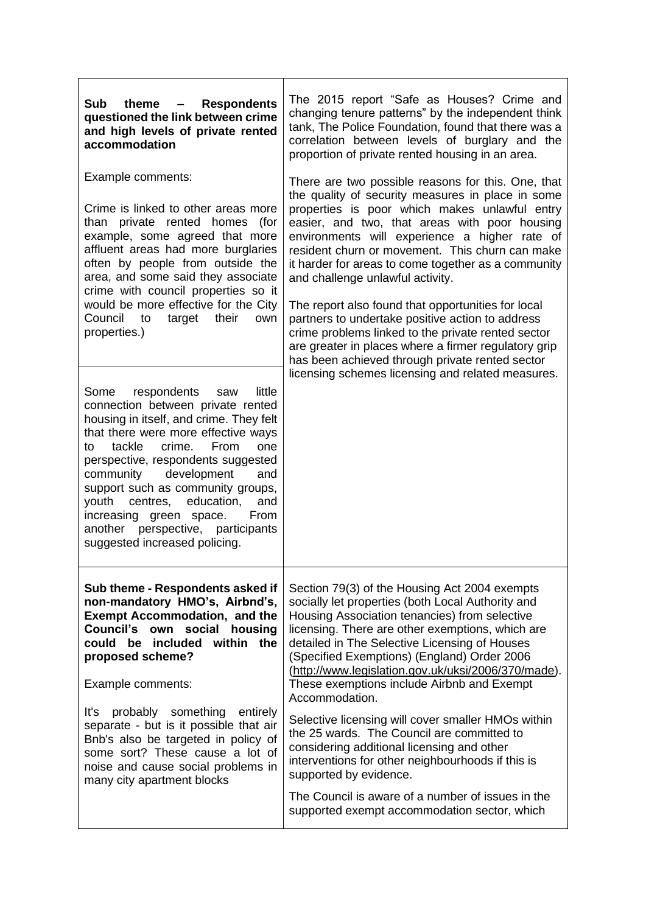| <b>Sub</b><br><b>Respondents</b><br>theme<br>$\qquad \qquad \blacksquare$<br>questioned the link between crime<br>and high levels of private rented<br>accommodation                                                                                                                                                                                                                                                                                                                                                                                                                        | The 2015 report "Safe as Houses? Crime and<br>changing tenure patterns" by the independent think<br>tank, The Police Foundation, found that there was a<br>correlation between levels of burglary and the<br>proportion of private rented housing in an area.                                                                                                                                                                                                                                                                                                                                                                                                                                                                            |
|---------------------------------------------------------------------------------------------------------------------------------------------------------------------------------------------------------------------------------------------------------------------------------------------------------------------------------------------------------------------------------------------------------------------------------------------------------------------------------------------------------------------------------------------------------------------------------------------|------------------------------------------------------------------------------------------------------------------------------------------------------------------------------------------------------------------------------------------------------------------------------------------------------------------------------------------------------------------------------------------------------------------------------------------------------------------------------------------------------------------------------------------------------------------------------------------------------------------------------------------------------------------------------------------------------------------------------------------|
| Example comments:<br>Crime is linked to other areas more<br>than private rented homes (for<br>example, some agreed that more<br>affluent areas had more burglaries<br>often by people from outside the<br>area, and some said they associate<br>crime with council properties so it<br>would be more effective for the City<br>Council to<br>their<br>target<br>own<br>properties.)<br>Some<br>respondents<br>little<br>saw<br>connection between private rented<br>housing in itself, and crime. They felt<br>that there were more effective ways<br>tackle<br>crime.<br>From<br>one<br>to | There are two possible reasons for this. One, that<br>the quality of security measures in place in some<br>properties is poor which makes unlawful entry<br>easier, and two, that areas with poor housing<br>environments will experience a higher rate of<br>resident churn or movement. This churn can make<br>it harder for areas to come together as a community<br>and challenge unlawful activity.<br>The report also found that opportunities for local<br>partners to undertake positive action to address<br>crime problems linked to the private rented sector<br>are greater in places where a firmer regulatory grip<br>has been achieved through private rented sector<br>licensing schemes licensing and related measures. |
| perspective, respondents suggested<br>development<br>community<br>and<br>support such as community groups,<br>youth centres, education,<br>and<br>increasing green space.<br>From<br>another perspective, participants<br>suggested increased policing.                                                                                                                                                                                                                                                                                                                                     |                                                                                                                                                                                                                                                                                                                                                                                                                                                                                                                                                                                                                                                                                                                                          |
| Sub theme - Respondents asked if<br>non-mandatory HMO's, Airbnd's,<br><b>Exempt Accommodation, and the</b><br><b>Council's own</b><br>social<br>housing<br>could be included<br>within the<br>proposed scheme?<br>Example comments:<br>something<br>It's<br>probably<br>entirely<br>separate - but is it possible that air<br>Bnb's also be targeted in policy of<br>some sort? These cause a lot of<br>noise and cause social problems in<br>many city apartment blocks                                                                                                                    | Section 79(3) of the Housing Act 2004 exempts<br>socially let properties (both Local Authority and<br>Housing Association tenancies) from selective<br>licensing. There are other exemptions, which are<br>detailed in The Selective Licensing of Houses<br>(Specified Exemptions) (England) Order 2006<br>(http://www.legislation.gov.uk/uksi/2006/370/made).<br>These exemptions include Airbnb and Exempt<br>Accommodation.<br>Selective licensing will cover smaller HMOs within<br>the 25 wards. The Council are committed to<br>considering additional licensing and other<br>interventions for other neighbourhoods if this is<br>supported by evidence.                                                                          |
|                                                                                                                                                                                                                                                                                                                                                                                                                                                                                                                                                                                             | The Council is aware of a number of issues in the<br>supported exempt accommodation sector, which                                                                                                                                                                                                                                                                                                                                                                                                                                                                                                                                                                                                                                        |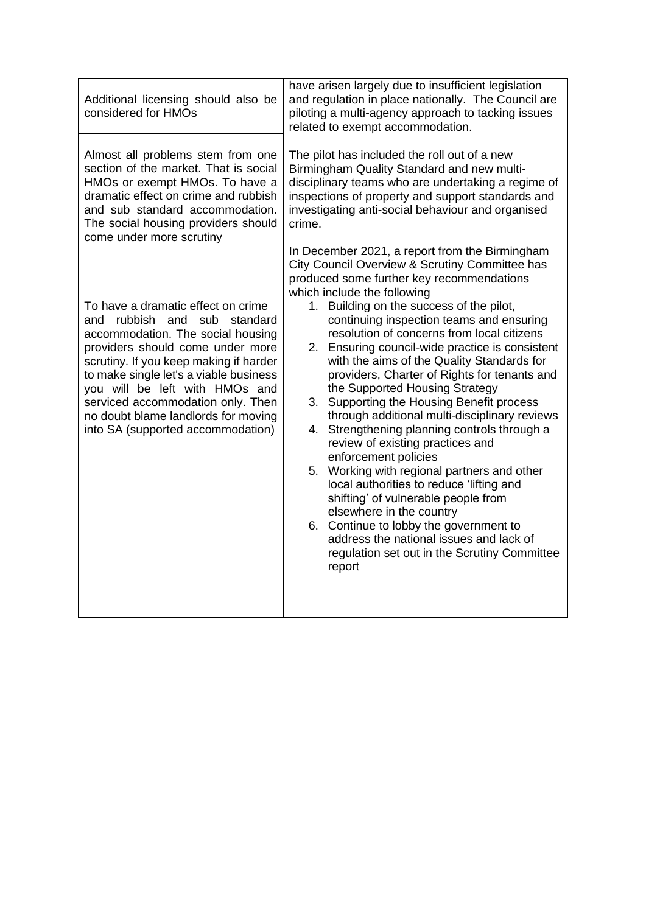| Additional licensing should also be<br>considered for HMOs                                                                                                                                                                                                                                                                                                                            | have arisen largely due to insufficient legislation<br>and regulation in place nationally. The Council are<br>piloting a multi-agency approach to tacking issues<br>related to exempt accommodation.                                                                                                                                                                                                                                                                                                                                                                                                                                                                                                                                                                                                                                                                              |
|---------------------------------------------------------------------------------------------------------------------------------------------------------------------------------------------------------------------------------------------------------------------------------------------------------------------------------------------------------------------------------------|-----------------------------------------------------------------------------------------------------------------------------------------------------------------------------------------------------------------------------------------------------------------------------------------------------------------------------------------------------------------------------------------------------------------------------------------------------------------------------------------------------------------------------------------------------------------------------------------------------------------------------------------------------------------------------------------------------------------------------------------------------------------------------------------------------------------------------------------------------------------------------------|
| Almost all problems stem from one<br>section of the market. That is social<br>HMOs or exempt HMOs. To have a<br>dramatic effect on crime and rubbish<br>and sub standard accommodation.<br>The social housing providers should<br>come under more scrutiny                                                                                                                            | The pilot has included the roll out of a new<br>Birmingham Quality Standard and new multi-<br>disciplinary teams who are undertaking a regime of<br>inspections of property and support standards and<br>investigating anti-social behaviour and organised<br>crime.                                                                                                                                                                                                                                                                                                                                                                                                                                                                                                                                                                                                              |
|                                                                                                                                                                                                                                                                                                                                                                                       | In December 2021, a report from the Birmingham<br>City Council Overview & Scrutiny Committee has<br>produced some further key recommendations                                                                                                                                                                                                                                                                                                                                                                                                                                                                                                                                                                                                                                                                                                                                     |
| To have a dramatic effect on crime<br>rubbish and sub standard<br>and<br>accommodation. The social housing<br>providers should come under more<br>scrutiny. If you keep making if harder<br>to make single let's a viable business<br>you will be left with HMOs and<br>serviced accommodation only. Then<br>no doubt blame landlords for moving<br>into SA (supported accommodation) | which include the following<br>1. Building on the success of the pilot,<br>continuing inspection teams and ensuring<br>resolution of concerns from local citizens<br>2. Ensuring council-wide practice is consistent<br>with the aims of the Quality Standards for<br>providers, Charter of Rights for tenants and<br>the Supported Housing Strategy<br>Supporting the Housing Benefit process<br>3.<br>through additional multi-disciplinary reviews<br>Strengthening planning controls through a<br>4.<br>review of existing practices and<br>enforcement policies<br>5. Working with regional partners and other<br>local authorities to reduce 'lifting and<br>shifting' of vulnerable people from<br>elsewhere in the country<br>6. Continue to lobby the government to<br>address the national issues and lack of<br>regulation set out in the Scrutiny Committee<br>report |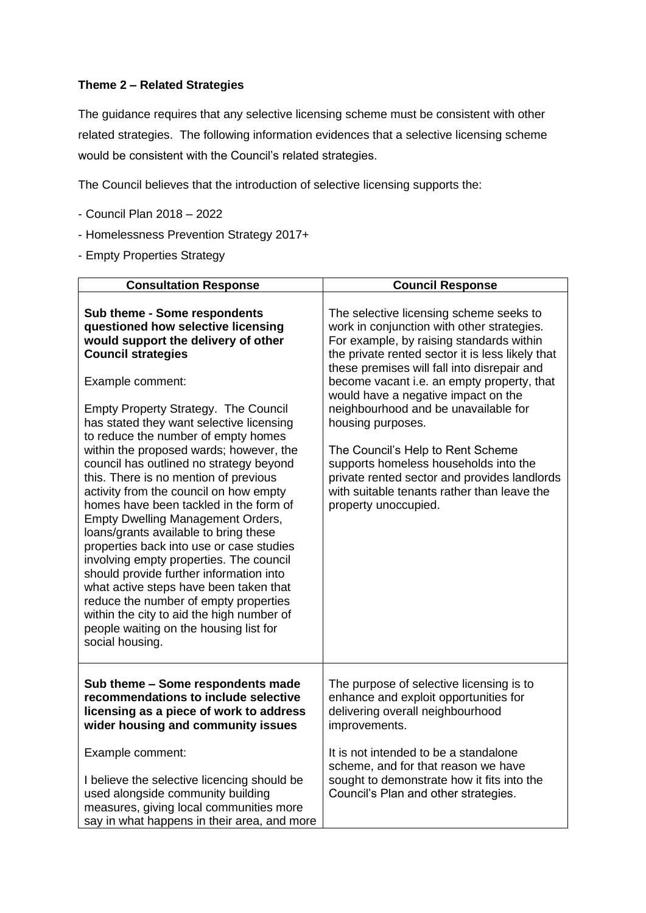### **Theme 2 – Related Strategies**

The guidance requires that any selective licensing scheme must be consistent with other related strategies. The following information evidences that a selective licensing scheme would be consistent with the Council's related strategies.

The Council believes that the introduction of selective licensing supports the:

- Council Plan 2018 2022
- Homelessness Prevention Strategy 2017+
- Empty Properties Strategy

| <b>Consultation Response</b>                                                                                                                                                                                                                                                                                                                                                                                                                                                                                                                                                                                                                                                                                                                                                                                                                                                                                                        | <b>Council Response</b>                                                                                                                                                                                                                                                                                                                                                                                                                                                                                                                                                                     |
|-------------------------------------------------------------------------------------------------------------------------------------------------------------------------------------------------------------------------------------------------------------------------------------------------------------------------------------------------------------------------------------------------------------------------------------------------------------------------------------------------------------------------------------------------------------------------------------------------------------------------------------------------------------------------------------------------------------------------------------------------------------------------------------------------------------------------------------------------------------------------------------------------------------------------------------|---------------------------------------------------------------------------------------------------------------------------------------------------------------------------------------------------------------------------------------------------------------------------------------------------------------------------------------------------------------------------------------------------------------------------------------------------------------------------------------------------------------------------------------------------------------------------------------------|
| Sub theme - Some respondents<br>questioned how selective licensing<br>would support the delivery of other<br><b>Council strategies</b><br>Example comment:<br><b>Empty Property Strategy. The Council</b><br>has stated they want selective licensing<br>to reduce the number of empty homes<br>within the proposed wards; however, the<br>council has outlined no strategy beyond<br>this. There is no mention of previous<br>activity from the council on how empty<br>homes have been tackled in the form of<br><b>Empty Dwelling Management Orders,</b><br>loans/grants available to bring these<br>properties back into use or case studies<br>involving empty properties. The council<br>should provide further information into<br>what active steps have been taken that<br>reduce the number of empty properties<br>within the city to aid the high number of<br>people waiting on the housing list for<br>social housing. | The selective licensing scheme seeks to<br>work in conjunction with other strategies.<br>For example, by raising standards within<br>the private rented sector it is less likely that<br>these premises will fall into disrepair and<br>become vacant i.e. an empty property, that<br>would have a negative impact on the<br>neighbourhood and be unavailable for<br>housing purposes.<br>The Council's Help to Rent Scheme<br>supports homeless households into the<br>private rented sector and provides landlords<br>with suitable tenants rather than leave the<br>property unoccupied. |
| Sub theme - Some respondents made<br>recommendations to include selective<br>licensing as a piece of work to address<br>wider housing and community issues                                                                                                                                                                                                                                                                                                                                                                                                                                                                                                                                                                                                                                                                                                                                                                          | The purpose of selective licensing is to<br>enhance and exploit opportunities for<br>delivering overall neighbourhood<br>improvements.                                                                                                                                                                                                                                                                                                                                                                                                                                                      |
| Example comment:<br>I believe the selective licencing should be<br>used alongside community building<br>measures, giving local communities more<br>say in what happens in their area, and more                                                                                                                                                                                                                                                                                                                                                                                                                                                                                                                                                                                                                                                                                                                                      | It is not intended to be a standalone<br>scheme, and for that reason we have<br>sought to demonstrate how it fits into the<br>Council's Plan and other strategies.                                                                                                                                                                                                                                                                                                                                                                                                                          |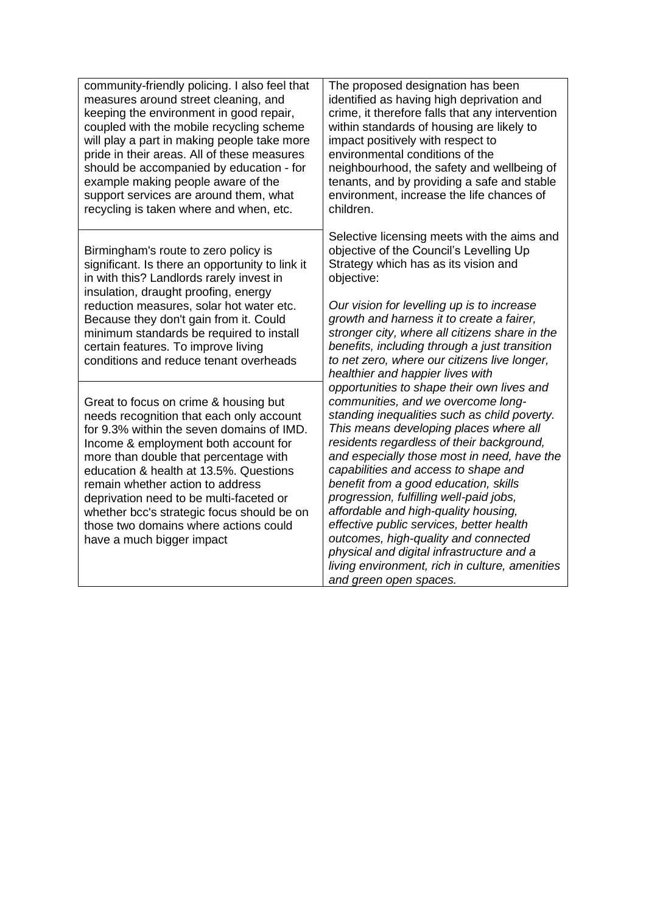| community-friendly policing. I also feel that<br>measures around street cleaning, and<br>keeping the environment in good repair,<br>coupled with the mobile recycling scheme<br>will play a part in making people take more<br>pride in their areas. All of these measures<br>should be accompanied by education - for<br>example making people aware of the<br>support services are around them, what<br>recycling is taken where and when, etc.            | The proposed designation has been<br>identified as having high deprivation and<br>crime, it therefore falls that any intervention<br>within standards of housing are likely to<br>impact positively with respect to<br>environmental conditions of the<br>neighbourhood, the safety and wellbeing of<br>tenants, and by providing a safe and stable<br>environment, increase the life chances of<br>children.                                                                                                                                                                                                                                           |
|--------------------------------------------------------------------------------------------------------------------------------------------------------------------------------------------------------------------------------------------------------------------------------------------------------------------------------------------------------------------------------------------------------------------------------------------------------------|---------------------------------------------------------------------------------------------------------------------------------------------------------------------------------------------------------------------------------------------------------------------------------------------------------------------------------------------------------------------------------------------------------------------------------------------------------------------------------------------------------------------------------------------------------------------------------------------------------------------------------------------------------|
| Birmingham's route to zero policy is<br>significant. Is there an opportunity to link it<br>in with this? Landlords rarely invest in<br>insulation, draught proofing, energy<br>reduction measures, solar hot water etc.<br>Because they don't gain from it. Could<br>minimum standards be required to install<br>certain features. To improve living<br>conditions and reduce tenant overheads                                                               | Selective licensing meets with the aims and<br>objective of the Council's Levelling Up<br>Strategy which has as its vision and<br>objective:<br>Our vision for levelling up is to increase<br>growth and harness it to create a fairer,<br>stronger city, where all citizens share in the<br>benefits, including through a just transition<br>to net zero, where our citizens live longer,<br>healthier and happier lives with                                                                                                                                                                                                                          |
| Great to focus on crime & housing but<br>needs recognition that each only account<br>for 9.3% within the seven domains of IMD.<br>Income & employment both account for<br>more than double that percentage with<br>education & health at 13.5%. Questions<br>remain whether action to address<br>deprivation need to be multi-faceted or<br>whether bcc's strategic focus should be on<br>those two domains where actions could<br>have a much bigger impact | opportunities to shape their own lives and<br>communities, and we overcome long-<br>standing inequalities such as child poverty.<br>This means developing places where all<br>residents regardless of their background,<br>and especially those most in need, have the<br>capabilities and access to shape and<br>benefit from a good education, skills<br>progression, fulfilling well-paid jobs,<br>affordable and high-quality housing,<br>effective public services, better health<br>outcomes, high-quality and connected<br>physical and digital infrastructure and a<br>living environment, rich in culture, amenities<br>and green open spaces. |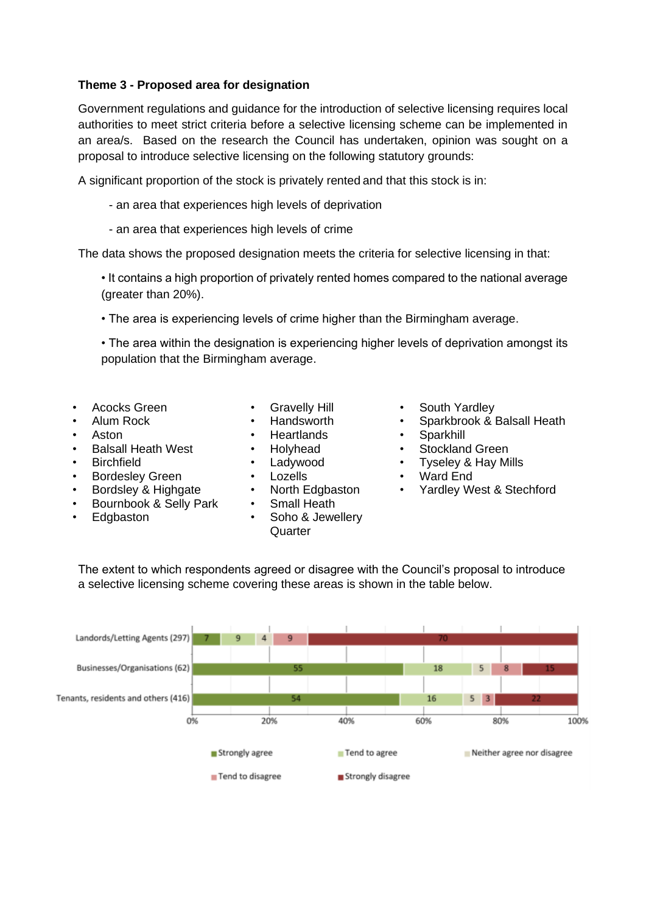### **Theme 3 - Proposed area for designation**

Government regulations and guidance for the introduction of selective licensing requires local authorities to meet strict criteria before a selective licensing scheme can be implemented in an area/s. Based on the research the Council has undertaken, opinion was sought on a proposal to introduce selective licensing on the following statutory grounds:

A significant proportion of the stock is privately rented and that this stock is in:

- an area that experiences high levels of deprivation
- an area that experiences high levels of crime

The data shows the proposed designation meets the criteria for selective licensing in that:

• It contains a high proportion of privately rented homes compared to the national average (greater than 20%).

• The area is experiencing levels of crime higher than the Birmingham average.

• The area within the designation is experiencing higher levels of deprivation amongst its population that the Birmingham average.

- 
- 
- 
- 
- 
- Bordesley Green Lozells Ward End
- 
- Bournbook & Selly Park Small Heath
- 
- 
- 
- Aston Heartlands Sparkhill
	-
	-
	-
	-
	-

a selective licensing scheme covering these areas is shown in the table below.

• Edgbaston • Soho & Jewellery Quarter

The extent to which respondents agreed or disagree with the Council's proposal to introduce

- 
- Acocks Green Gravelly Hill South Yardley<br>Alum Rock Handsworth Sparkbrook & I • Alum Rock • Handsworth • Sparkbrook & Balsall Heath
	-
- Balsall Heath West Holyhead Stockland Green
- Birchfield Ladywood Tyseley & Hay Mills
	-
- Bordsley & Highgate North Edgbaston Yardley West & Stechford

Landords/Letting Agents (297) Businesses/Organisations (62) 18 5 Tenants, residents and others (416) 16  $5 \vert 3$ 0% 20% 40% 60% 80% 100% Strongly agree Tend to agree Neither agree nor disagree Tend to disagree Strongly disagree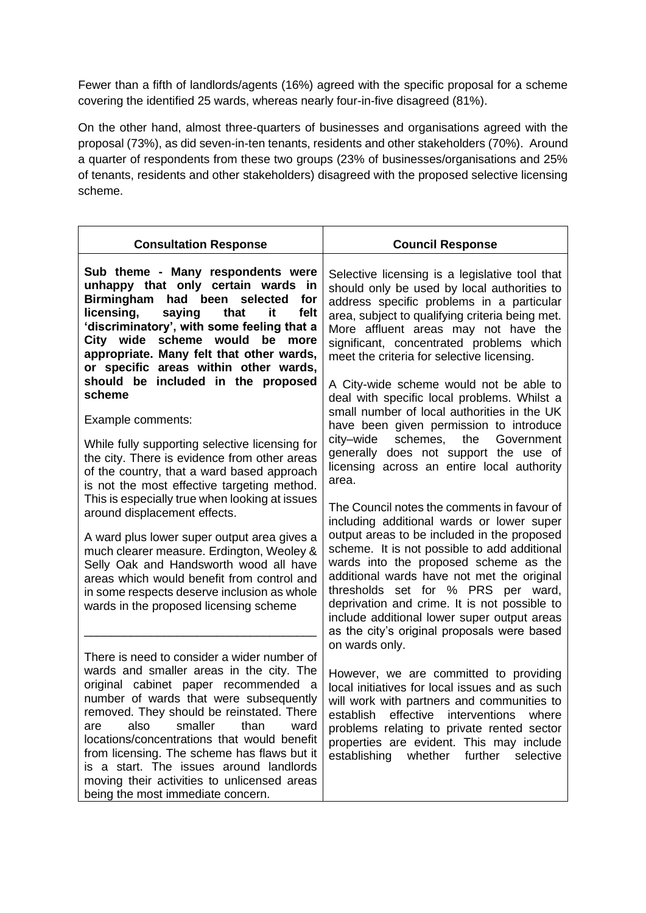Fewer than a fifth of landlords/agents (16%) agreed with the specific proposal for a scheme covering the identified 25 wards, whereas nearly four-in-five disagreed (81%).

On the other hand, almost three-quarters of businesses and organisations agreed with the proposal (73%), as did seven-in-ten tenants, residents and other stakeholders (70%). Around a quarter of respondents from these two groups (23% of businesses/organisations and 25% of tenants, residents and other stakeholders) disagreed with the proposed selective licensing scheme.

| <b>Consultation Response</b>                                                                                                                                                                                                                                                                                                                                                                                                                                                                  | <b>Council Response</b>                                                                                                                                                                                                                                                                                                                                                                                                                                                  |
|-----------------------------------------------------------------------------------------------------------------------------------------------------------------------------------------------------------------------------------------------------------------------------------------------------------------------------------------------------------------------------------------------------------------------------------------------------------------------------------------------|--------------------------------------------------------------------------------------------------------------------------------------------------------------------------------------------------------------------------------------------------------------------------------------------------------------------------------------------------------------------------------------------------------------------------------------------------------------------------|
| Sub theme - Many respondents were<br>unhappy that only certain wards<br>in<br>Birmingham had been selected<br>for<br>licensing,<br>felt<br>saying<br>that<br>it<br>'discriminatory', with some feeling that a<br>City wide scheme would<br>be<br>more<br>appropriate. Many felt that other wards,<br>or specific areas within other wards,<br>should be included in the proposed<br>scheme                                                                                                    | Selective licensing is a legislative tool that<br>should only be used by local authorities to<br>address specific problems in a particular<br>area, subject to qualifying criteria being met.<br>More affluent areas may not have the<br>significant, concentrated problems which<br>meet the criteria for selective licensing.<br>A City-wide scheme would not be able to<br>deal with specific local problems. Whilst a<br>small number of local authorities in the UK |
| Example comments:<br>While fully supporting selective licensing for<br>the city. There is evidence from other areas<br>of the country, that a ward based approach<br>is not the most effective targeting method.                                                                                                                                                                                                                                                                              | have been given permission to introduce<br>schemes, the<br>Government<br>city–wide<br>generally does not support the use of<br>licensing across an entire local authority<br>area.                                                                                                                                                                                                                                                                                       |
| This is especially true when looking at issues<br>around displacement effects.<br>A ward plus lower super output area gives a<br>much clearer measure. Erdington, Weoley &<br>Selly Oak and Handsworth wood all have<br>areas which would benefit from control and<br>in some respects deserve inclusion as whole<br>wards in the proposed licensing scheme                                                                                                                                   | The Council notes the comments in favour of<br>including additional wards or lower super<br>output areas to be included in the proposed<br>scheme. It is not possible to add additional<br>wards into the proposed scheme as the<br>additional wards have not met the original<br>thresholds set for % PRS per ward,<br>deprivation and crime. It is not possible to<br>include additional lower super output areas<br>as the city's original proposals were based       |
| There is need to consider a wider number of<br>wards and smaller areas in the city. The<br>original cabinet paper recommended a<br>number of wards that were subsequently<br>removed. They should be reinstated. There<br>smaller<br>than<br>also<br>ward<br>are<br>locations/concentrations that would benefit<br>from licensing. The scheme has flaws but it<br>is a start. The issues around landlords<br>moving their activities to unlicensed areas<br>being the most immediate concern. | on wards only.<br>However, we are committed to providing<br>local initiatives for local issues and as such<br>will work with partners and communities to<br>establish<br>effective<br>interventions<br>where<br>problems relating to private rented sector<br>properties are evident. This may include<br>establishing<br>further<br>whether<br>selective                                                                                                                |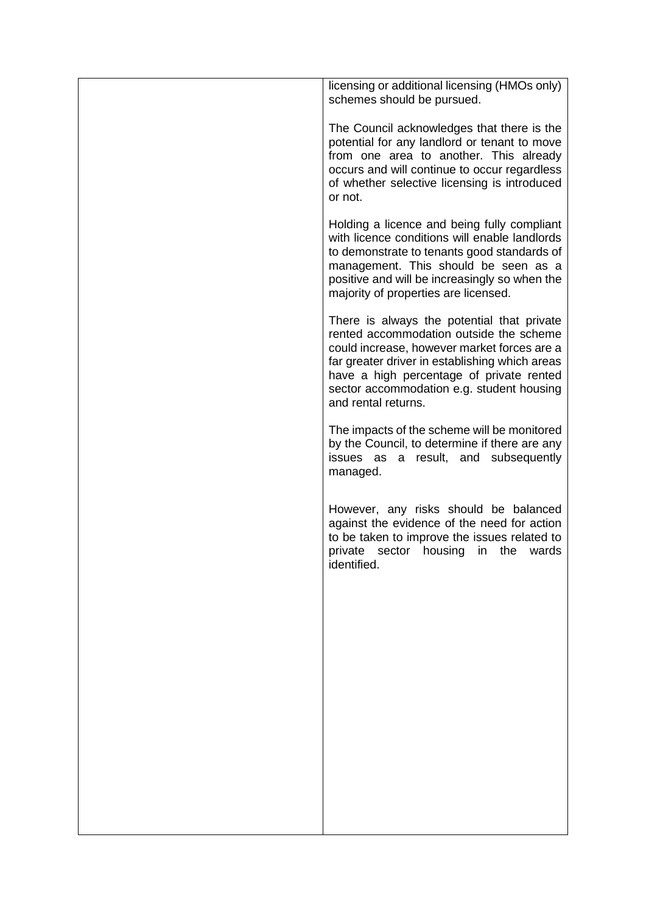| licensing or additional licensing (HMOs only)<br>schemes should be pursued.                                                                                                                                                                                                                            |
|--------------------------------------------------------------------------------------------------------------------------------------------------------------------------------------------------------------------------------------------------------------------------------------------------------|
| The Council acknowledges that there is the<br>potential for any landlord or tenant to move<br>from one area to another. This already<br>occurs and will continue to occur regardless<br>of whether selective licensing is introduced<br>or not.                                                        |
| Holding a licence and being fully compliant<br>with licence conditions will enable landlords<br>to demonstrate to tenants good standards of<br>management. This should be seen as a<br>positive and will be increasingly so when the<br>majority of properties are licensed.                           |
| There is always the potential that private<br>rented accommodation outside the scheme<br>could increase, however market forces are a<br>far greater driver in establishing which areas<br>have a high percentage of private rented<br>sector accommodation e.g. student housing<br>and rental returns. |
| The impacts of the scheme will be monitored<br>by the Council, to determine if there are any<br>issues as a result, and subsequently<br>managed.                                                                                                                                                       |
| However, any risks should be balanced<br>against the evidence of the need for action<br>to be taken to improve the issues related to<br>private sector housing in the<br>wards<br>identified.                                                                                                          |
|                                                                                                                                                                                                                                                                                                        |
|                                                                                                                                                                                                                                                                                                        |
|                                                                                                                                                                                                                                                                                                        |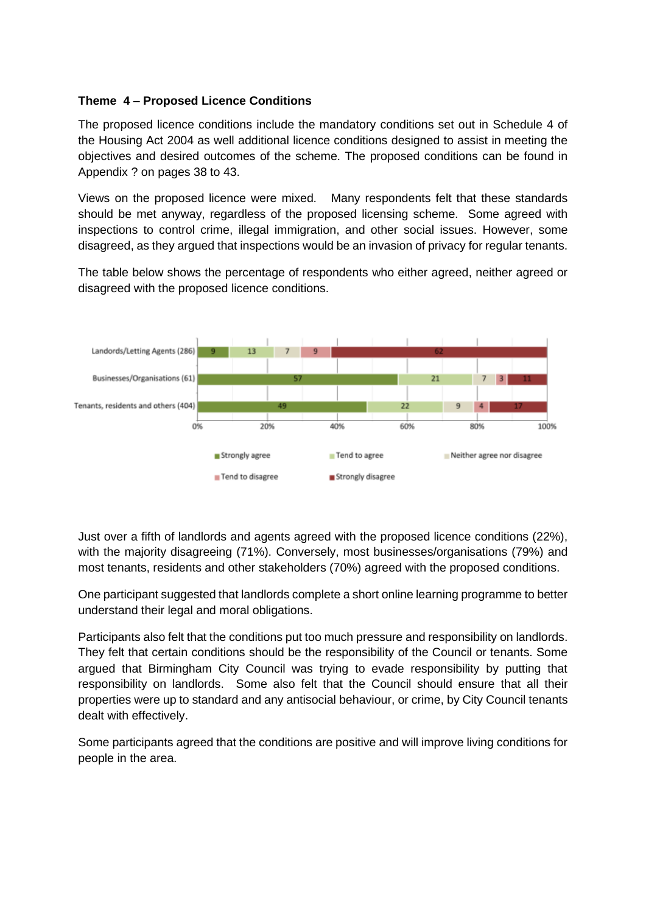### **Theme 4 – Proposed Licence Conditions**

The proposed licence conditions include the mandatory conditions set out in Schedule 4 of the Housing Act 2004 as well additional licence conditions designed to assist in meeting the objectives and desired outcomes of the scheme. The proposed conditions can be found in Appendix ? on pages 38 to 43.

Views on the proposed licence were mixed. Many respondents felt that these standards should be met anyway, regardless of the proposed licensing scheme. Some agreed with inspections to control crime, illegal immigration, and other social issues. However, some disagreed, as they argued that inspections would be an invasion of privacy for regular tenants.

The table below shows the percentage of respondents who either agreed, neither agreed or disagreed with the proposed licence conditions.



Just over a fifth of landlords and agents agreed with the proposed licence conditions (22%), with the majority disagreeing (71%). Conversely, most businesses/organisations (79%) and most tenants, residents and other stakeholders (70%) agreed with the proposed conditions.

One participant suggested that landlords complete a short online learning programme to better understand their legal and moral obligations.

Participants also felt that the conditions put too much pressure and responsibility on landlords. They felt that certain conditions should be the responsibility of the Council or tenants. Some argued that Birmingham City Council was trying to evade responsibility by putting that responsibility on landlords. Some also felt that the Council should ensure that all their properties were up to standard and any antisocial behaviour, or crime, by City Council tenants dealt with effectively.

Some participants agreed that the conditions are positive and will improve living conditions for people in the area.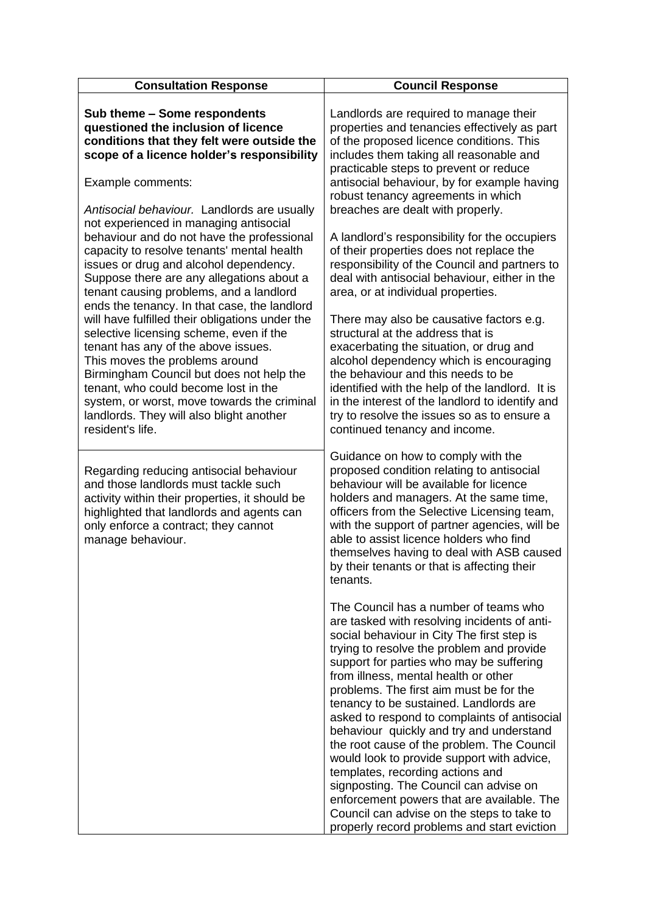| <b>Consultation Response</b>                                                                                                                                                                                                                                                                                                                                                                                                                                                                                                                                                                                                                                                                                                                  | <b>Council Response</b>                                                                                                                                                                                                                                                                                                                                                                                                                                                                                                                                                                                                                                                                                                                                                    |
|-----------------------------------------------------------------------------------------------------------------------------------------------------------------------------------------------------------------------------------------------------------------------------------------------------------------------------------------------------------------------------------------------------------------------------------------------------------------------------------------------------------------------------------------------------------------------------------------------------------------------------------------------------------------------------------------------------------------------------------------------|----------------------------------------------------------------------------------------------------------------------------------------------------------------------------------------------------------------------------------------------------------------------------------------------------------------------------------------------------------------------------------------------------------------------------------------------------------------------------------------------------------------------------------------------------------------------------------------------------------------------------------------------------------------------------------------------------------------------------------------------------------------------------|
| Sub theme - Some respondents<br>questioned the inclusion of licence<br>conditions that they felt were outside the<br>scope of a licence holder's responsibility                                                                                                                                                                                                                                                                                                                                                                                                                                                                                                                                                                               | Landlords are required to manage their<br>properties and tenancies effectively as part<br>of the proposed licence conditions. This<br>includes them taking all reasonable and<br>practicable steps to prevent or reduce                                                                                                                                                                                                                                                                                                                                                                                                                                                                                                                                                    |
| Example comments:                                                                                                                                                                                                                                                                                                                                                                                                                                                                                                                                                                                                                                                                                                                             | antisocial behaviour, by for example having<br>robust tenancy agreements in which                                                                                                                                                                                                                                                                                                                                                                                                                                                                                                                                                                                                                                                                                          |
| Antisocial behaviour. Landlords are usually<br>not experienced in managing antisocial<br>behaviour and do not have the professional<br>capacity to resolve tenants' mental health<br>issues or drug and alcohol dependency.<br>Suppose there are any allegations about a<br>tenant causing problems, and a landlord<br>ends the tenancy. In that case, the landlord<br>will have fulfilled their obligations under the<br>selective licensing scheme, even if the<br>tenant has any of the above issues.<br>This moves the problems around<br>Birmingham Council but does not help the<br>tenant, who could become lost in the<br>system, or worst, move towards the criminal<br>landlords. They will also blight another<br>resident's life. | breaches are dealt with properly.<br>A landlord's responsibility for the occupiers<br>of their properties does not replace the<br>responsibility of the Council and partners to<br>deal with antisocial behaviour, either in the<br>area, or at individual properties.<br>There may also be causative factors e.g.<br>structural at the address that is<br>exacerbating the situation, or drug and<br>alcohol dependency which is encouraging<br>the behaviour and this needs to be<br>identified with the help of the landlord. It is<br>in the interest of the landlord to identify and<br>try to resolve the issues so as to ensure a<br>continued tenancy and income.                                                                                                  |
| Regarding reducing antisocial behaviour<br>and those landlords must tackle such<br>activity within their properties, it should be<br>highlighted that landlords and agents can<br>only enforce a contract; they cannot<br>manage behaviour.                                                                                                                                                                                                                                                                                                                                                                                                                                                                                                   | Guidance on how to comply with the<br>proposed condition relating to antisocial<br>behaviour will be available for licence<br>holders and managers. At the same time,<br>officers from the Selective Licensing team,<br>with the support of partner agencies, will be<br>able to assist licence holders who find<br>themselves having to deal with ASB caused<br>by their tenants or that is affecting their<br>tenants.                                                                                                                                                                                                                                                                                                                                                   |
|                                                                                                                                                                                                                                                                                                                                                                                                                                                                                                                                                                                                                                                                                                                                               | The Council has a number of teams who<br>are tasked with resolving incidents of anti-<br>social behaviour in City The first step is<br>trying to resolve the problem and provide<br>support for parties who may be suffering<br>from illness, mental health or other<br>problems. The first aim must be for the<br>tenancy to be sustained. Landlords are<br>asked to respond to complaints of antisocial<br>behaviour quickly and try and understand<br>the root cause of the problem. The Council<br>would look to provide support with advice,<br>templates, recording actions and<br>signposting. The Council can advise on<br>enforcement powers that are available. The<br>Council can advise on the steps to take to<br>properly record problems and start eviction |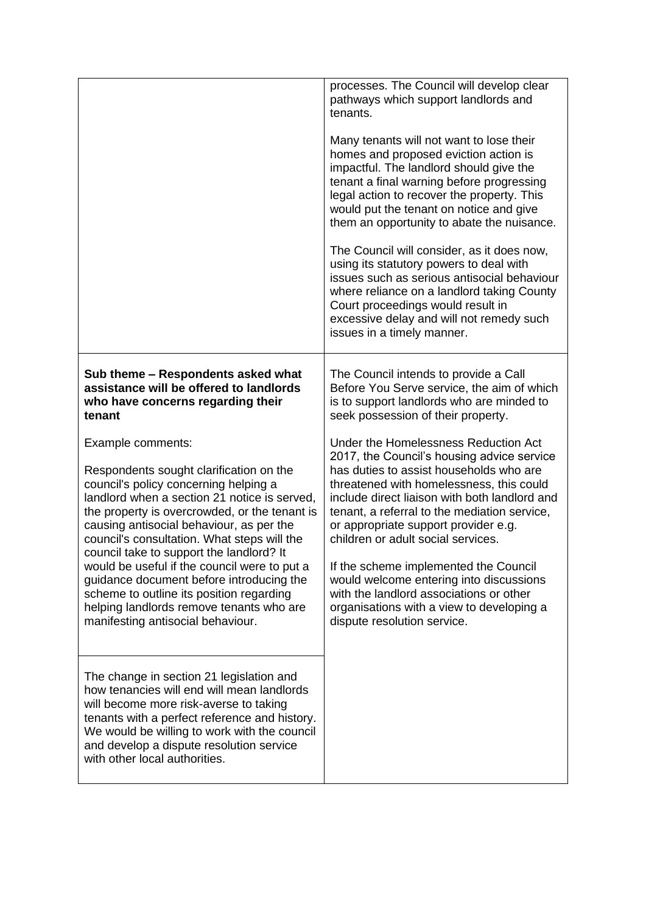|                                                                                                                                                                                                                                                                                                                                                                                                                                                                                                                                                                                                                                                                                                        | processes. The Council will develop clear<br>pathways which support landlords and<br>tenants.<br>Many tenants will not want to lose their<br>homes and proposed eviction action is<br>impactful. The landlord should give the<br>tenant a final warning before progressing<br>legal action to recover the property. This<br>would put the tenant on notice and give<br>them an opportunity to abate the nuisance.<br>The Council will consider, as it does now,<br>using its statutory powers to deal with<br>issues such as serious antisocial behaviour<br>where reliance on a landlord taking County<br>Court proceedings would result in<br>excessive delay and will not remedy such<br>issues in a timely manner.                        |
|--------------------------------------------------------------------------------------------------------------------------------------------------------------------------------------------------------------------------------------------------------------------------------------------------------------------------------------------------------------------------------------------------------------------------------------------------------------------------------------------------------------------------------------------------------------------------------------------------------------------------------------------------------------------------------------------------------|-----------------------------------------------------------------------------------------------------------------------------------------------------------------------------------------------------------------------------------------------------------------------------------------------------------------------------------------------------------------------------------------------------------------------------------------------------------------------------------------------------------------------------------------------------------------------------------------------------------------------------------------------------------------------------------------------------------------------------------------------|
| Sub theme – Respondents asked what<br>assistance will be offered to landlords<br>who have concerns regarding their<br>tenant<br>Example comments:<br>Respondents sought clarification on the<br>council's policy concerning helping a<br>landlord when a section 21 notice is served,<br>the property is overcrowded, or the tenant is<br>causing antisocial behaviour, as per the<br>council's consultation. What steps will the<br>council take to support the landlord? It<br>would be useful if the council were to put a<br>guidance document before introducing the<br>scheme to outline its position regarding<br>helping landlords remove tenants who are<br>manifesting antisocial behaviour. | The Council intends to provide a Call<br>Before You Serve service, the aim of which<br>is to support landlords who are minded to<br>seek possession of their property.<br>Under the Homelessness Reduction Act<br>2017, the Council's housing advice service<br>has duties to assist households who are<br>threatened with homelessness, this could<br>include direct liaison with both landlord and<br>tenant, a referral to the mediation service,<br>or appropriate support provider e.g.<br>children or adult social services.<br>If the scheme implemented the Council<br>would welcome entering into discussions<br>with the landlord associations or other<br>organisations with a view to developing a<br>dispute resolution service. |
| The change in section 21 legislation and<br>how tenancies will end will mean landlords<br>will become more risk-averse to taking<br>tenants with a perfect reference and history.<br>We would be willing to work with the council<br>and develop a dispute resolution service<br>with other local authorities.                                                                                                                                                                                                                                                                                                                                                                                         |                                                                                                                                                                                                                                                                                                                                                                                                                                                                                                                                                                                                                                                                                                                                               |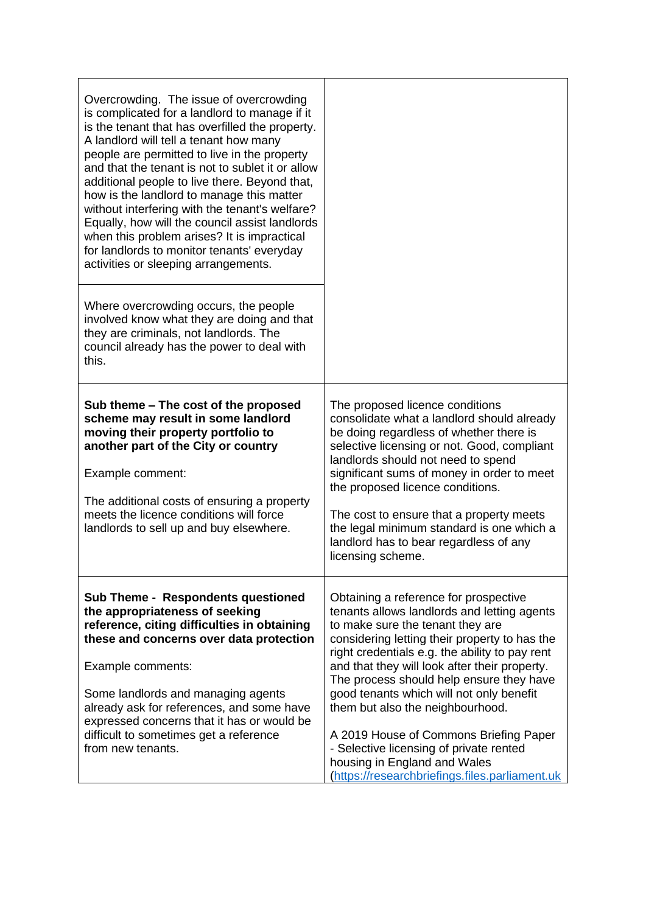| Overcrowding. The issue of overcrowding<br>is complicated for a landlord to manage if it<br>is the tenant that has overfilled the property.<br>A landlord will tell a tenant how many<br>people are permitted to live in the property<br>and that the tenant is not to sublet it or allow<br>additional people to live there. Beyond that,<br>how is the landlord to manage this matter<br>without interfering with the tenant's welfare?<br>Equally, how will the council assist landlords<br>when this problem arises? It is impractical<br>for landlords to monitor tenants' everyday<br>activities or sleeping arrangements. |                                                                                                                                                                                                                                                                                                                                                                                                                                                                                                                                                                                 |
|----------------------------------------------------------------------------------------------------------------------------------------------------------------------------------------------------------------------------------------------------------------------------------------------------------------------------------------------------------------------------------------------------------------------------------------------------------------------------------------------------------------------------------------------------------------------------------------------------------------------------------|---------------------------------------------------------------------------------------------------------------------------------------------------------------------------------------------------------------------------------------------------------------------------------------------------------------------------------------------------------------------------------------------------------------------------------------------------------------------------------------------------------------------------------------------------------------------------------|
| Where overcrowding occurs, the people<br>involved know what they are doing and that<br>they are criminals, not landlords. The<br>council already has the power to deal with<br>this.                                                                                                                                                                                                                                                                                                                                                                                                                                             |                                                                                                                                                                                                                                                                                                                                                                                                                                                                                                                                                                                 |
| Sub theme – The cost of the proposed<br>scheme may result in some landlord<br>moving their property portfolio to<br>another part of the City or country<br>Example comment:<br>The additional costs of ensuring a property<br>meets the licence conditions will force<br>landlords to sell up and buy elsewhere.                                                                                                                                                                                                                                                                                                                 | The proposed licence conditions<br>consolidate what a landlord should already<br>be doing regardless of whether there is<br>selective licensing or not. Good, compliant<br>landlords should not need to spend<br>significant sums of money in order to meet<br>the proposed licence conditions.<br>The cost to ensure that a property meets<br>the legal minimum standard is one which a<br>landlord has to bear regardless of any<br>licensing scheme.                                                                                                                         |
| <b>Sub Theme - Respondents questioned</b><br>the appropriateness of seeking<br>reference, citing difficulties in obtaining<br>these and concerns over data protection<br>Example comments:<br>Some landlords and managing agents<br>already ask for references, and some have<br>expressed concerns that it has or would be<br>difficult to sometimes get a reference<br>from new tenants.                                                                                                                                                                                                                                       | Obtaining a reference for prospective<br>tenants allows landlords and letting agents<br>to make sure the tenant they are<br>considering letting their property to has the<br>right credentials e.g. the ability to pay rent<br>and that they will look after their property.<br>The process should help ensure they have<br>good tenants which will not only benefit<br>them but also the neighbourhood.<br>A 2019 House of Commons Briefing Paper<br>- Selective licensing of private rented<br>housing in England and Wales<br>(https://researchbriefings.files.parliament.uk |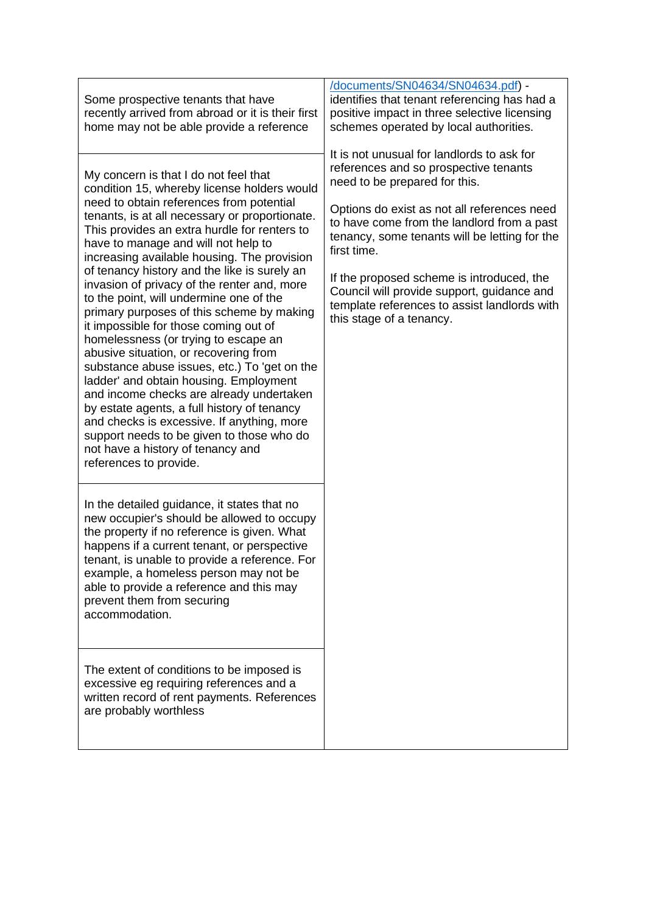| Some prospective tenants that have<br>recently arrived from abroad or it is their first<br>home may not be able provide a reference                                                                                                                                                                                                                                                                                                                                                                                                                                                                                                                                                                                                                                                                                                                                                                                                                                                      | documents/SN04634/SN04634.pdf) -<br>identifies that tenant referencing has had a<br>positive impact in three selective licensing<br>schemes operated by local authorities.<br>It is not unusual for landlords to ask for                                                                                                                                                                                   |
|------------------------------------------------------------------------------------------------------------------------------------------------------------------------------------------------------------------------------------------------------------------------------------------------------------------------------------------------------------------------------------------------------------------------------------------------------------------------------------------------------------------------------------------------------------------------------------------------------------------------------------------------------------------------------------------------------------------------------------------------------------------------------------------------------------------------------------------------------------------------------------------------------------------------------------------------------------------------------------------|------------------------------------------------------------------------------------------------------------------------------------------------------------------------------------------------------------------------------------------------------------------------------------------------------------------------------------------------------------------------------------------------------------|
| My concern is that I do not feel that<br>condition 15, whereby license holders would<br>need to obtain references from potential<br>tenants, is at all necessary or proportionate.<br>This provides an extra hurdle for renters to<br>have to manage and will not help to<br>increasing available housing. The provision<br>of tenancy history and the like is surely an<br>invasion of privacy of the renter and, more<br>to the point, will undermine one of the<br>primary purposes of this scheme by making<br>it impossible for those coming out of<br>homelessness (or trying to escape an<br>abusive situation, or recovering from<br>substance abuse issues, etc.) To 'get on the<br>ladder' and obtain housing. Employment<br>and income checks are already undertaken<br>by estate agents, a full history of tenancy<br>and checks is excessive. If anything, more<br>support needs to be given to those who do<br>not have a history of tenancy and<br>references to provide. | references and so prospective tenants<br>need to be prepared for this.<br>Options do exist as not all references need<br>to have come from the landlord from a past<br>tenancy, some tenants will be letting for the<br>first time.<br>If the proposed scheme is introduced, the<br>Council will provide support, guidance and<br>template references to assist landlords with<br>this stage of a tenancy. |
| In the detailed guidance, it states that no<br>new occupier's should be allowed to occupy<br>the property if no reference is given. What<br>happens if a current tenant, or perspective<br>tenant, is unable to provide a reference. For<br>example, a homeless person may not be<br>able to provide a reference and this may<br>prevent them from securing<br>accommodation.<br>The extent of conditions to be imposed is<br>excessive eg requiring references and a<br>written record of rent payments. References<br>are probably worthless                                                                                                                                                                                                                                                                                                                                                                                                                                           |                                                                                                                                                                                                                                                                                                                                                                                                            |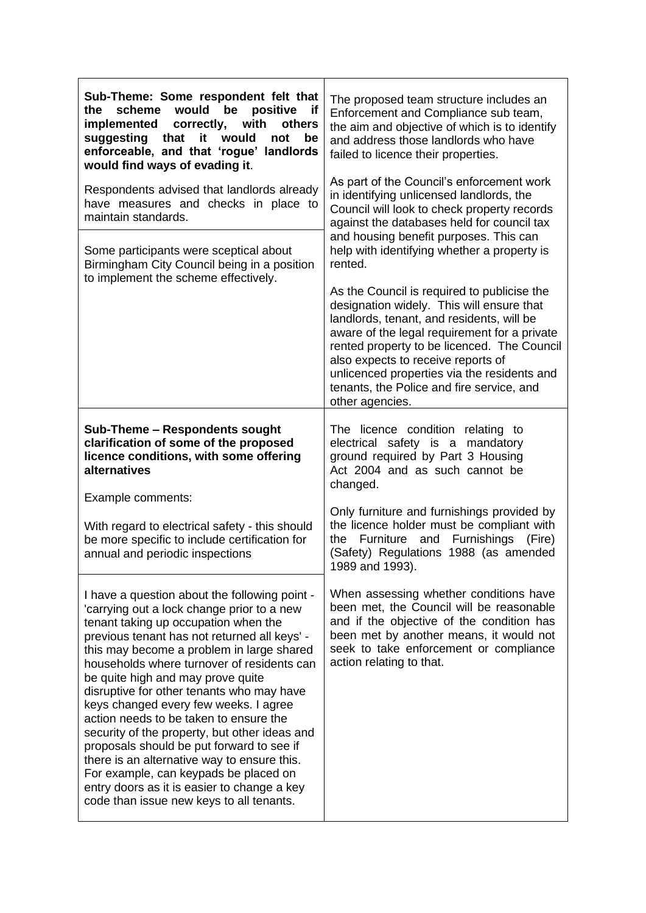| Sub-Theme: Some respondent felt that<br>would<br>scheme<br>be<br>positive<br>the<br>if<br>implemented<br>correctly,<br>with<br>others<br>suggesting<br>that<br>it<br>would<br>not<br>be<br>enforceable, and that 'rogue' landlords<br>would find ways of evading it.<br>Respondents advised that landlords already<br>have measures and checks in place to<br>maintain standards.<br>Some participants were sceptical about<br>Birmingham City Council being in a position<br>to implement the scheme effectively.                                                                                                                                                                                                                   | The proposed team structure includes an<br>Enforcement and Compliance sub team,<br>the aim and objective of which is to identify<br>and address those landlords who have<br>failed to licence their properties.<br>As part of the Council's enforcement work<br>in identifying unlicensed landlords, the<br>Council will look to check property records<br>against the databases held for council tax<br>and housing benefit purposes. This can<br>help with identifying whether a property is<br>rented.<br>As the Council is required to publicise the<br>designation widely. This will ensure that<br>landlords, tenant, and residents, will be<br>aware of the legal requirement for a private<br>rented property to be licenced. The Council<br>also expects to receive reports of<br>unlicenced properties via the residents and<br>tenants, the Police and fire service, and<br>other agencies. |
|--------------------------------------------------------------------------------------------------------------------------------------------------------------------------------------------------------------------------------------------------------------------------------------------------------------------------------------------------------------------------------------------------------------------------------------------------------------------------------------------------------------------------------------------------------------------------------------------------------------------------------------------------------------------------------------------------------------------------------------|--------------------------------------------------------------------------------------------------------------------------------------------------------------------------------------------------------------------------------------------------------------------------------------------------------------------------------------------------------------------------------------------------------------------------------------------------------------------------------------------------------------------------------------------------------------------------------------------------------------------------------------------------------------------------------------------------------------------------------------------------------------------------------------------------------------------------------------------------------------------------------------------------------|
| Sub-Theme - Respondents sought<br>clarification of some of the proposed<br>licence conditions, with some offering<br>alternatives<br>Example comments:<br>With regard to electrical safety - this should<br>be more specific to include certification for<br>annual and periodic inspections                                                                                                                                                                                                                                                                                                                                                                                                                                         | The licence condition relating to<br>electrical safety is a mandatory<br>ground required by Part 3 Housing<br>Act 2004 and as such cannot be<br>changed.<br>Only furniture and furnishings provided by<br>the licence holder must be compliant with<br>Furniture<br>and Furnishings<br>the<br>(Fire)<br>(Safety) Regulations 1988 (as amended<br>1989 and 1993).                                                                                                                                                                                                                                                                                                                                                                                                                                                                                                                                       |
| I have a question about the following point -<br>'carrying out a lock change prior to a new<br>tenant taking up occupation when the<br>previous tenant has not returned all keys' -<br>this may become a problem in large shared<br>households where turnover of residents can<br>be quite high and may prove quite<br>disruptive for other tenants who may have<br>keys changed every few weeks. I agree<br>action needs to be taken to ensure the<br>security of the property, but other ideas and<br>proposals should be put forward to see if<br>there is an alternative way to ensure this.<br>For example, can keypads be placed on<br>entry doors as it is easier to change a key<br>code than issue new keys to all tenants. | When assessing whether conditions have<br>been met, the Council will be reasonable<br>and if the objective of the condition has<br>been met by another means, it would not<br>seek to take enforcement or compliance<br>action relating to that.                                                                                                                                                                                                                                                                                                                                                                                                                                                                                                                                                                                                                                                       |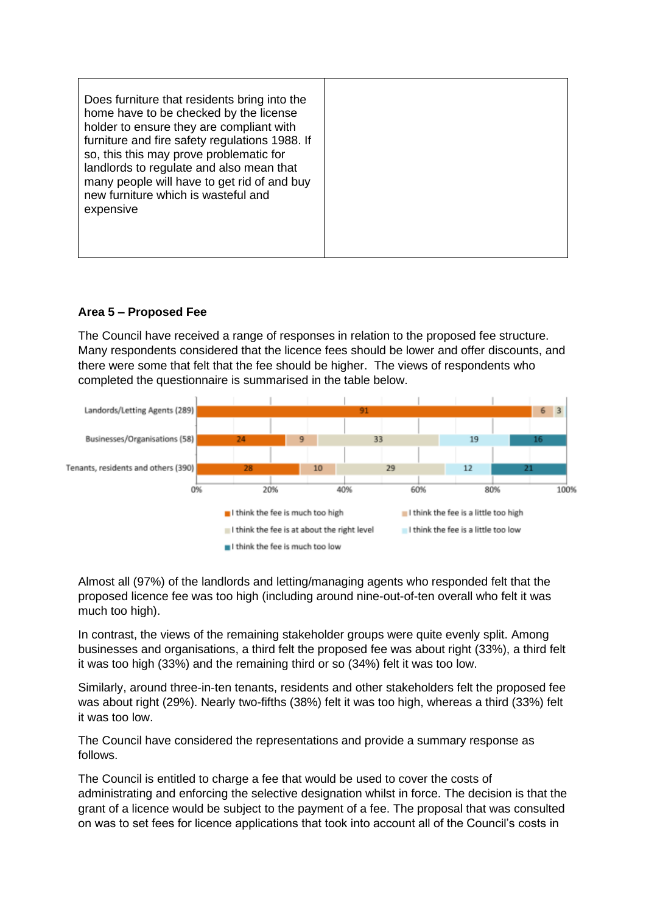# **Area 5 – Proposed Fee**

The Council have received a range of responses in relation to the proposed fee structure. Many respondents considered that the licence fees should be lower and offer discounts, and there were some that felt that the fee should be higher. The views of respondents who completed the questionnaire is summarised in the table below.



Almost all (97%) of the landlords and letting/managing agents who responded felt that the proposed licence fee was too high (including around nine-out-of-ten overall who felt it was much too high).

In contrast, the views of the remaining stakeholder groups were quite evenly split. Among businesses and organisations, a third felt the proposed fee was about right (33%), a third felt it was too high (33%) and the remaining third or so (34%) felt it was too low.

Similarly, around three-in-ten tenants, residents and other stakeholders felt the proposed fee was about right (29%). Nearly two-fifths (38%) felt it was too high, whereas a third (33%) felt it was too low.

The Council have considered the representations and provide a summary response as follows.

The Council is entitled to charge a fee that would be used to cover the costs of administrating and enforcing the selective designation whilst in force. The decision is that the grant of a licence would be subject to the payment of a fee. The proposal that was consulted on was to set fees for licence applications that took into account all of the Council's costs in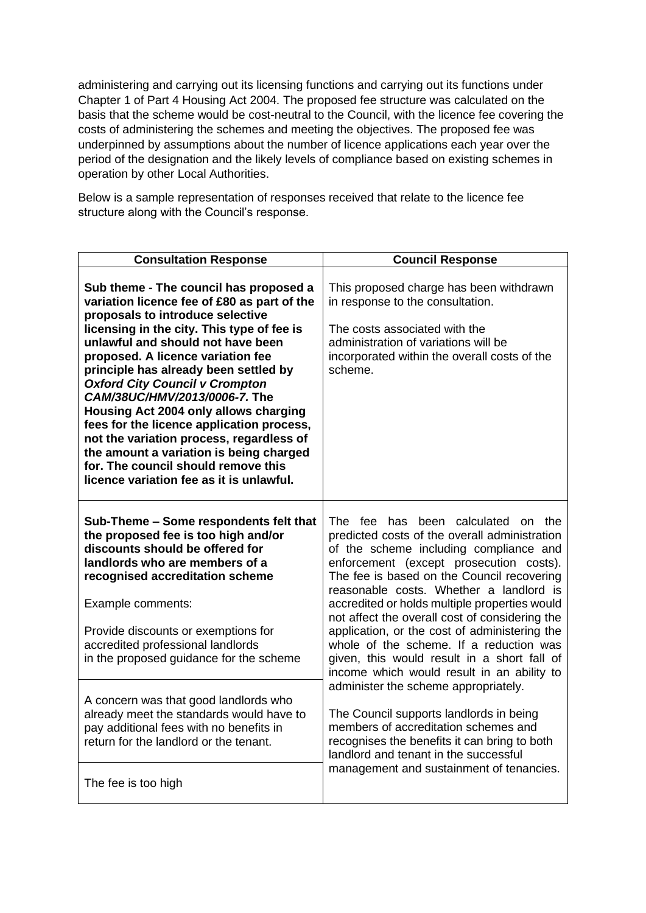administering and carrying out its licensing functions and carrying out its functions under Chapter 1 of Part 4 Housing Act 2004. The proposed fee structure was calculated on the basis that the scheme would be cost-neutral to the Council, with the licence fee covering the costs of administering the schemes and meeting the objectives. The proposed fee was underpinned by assumptions about the number of licence applications each year over the period of the designation and the likely levels of compliance based on existing schemes in operation by other Local Authorities.

Below is a sample representation of responses received that relate to the licence fee structure along with the Council's response.

| <b>Consultation Response</b>                                                                                                                                                                                                                                                                                                                                                                                                                                                                                                                                                                                                                | <b>Council Response</b>                                                                                                                                                                                                                                                                                                                                                                                                                                                                                                                                       |
|---------------------------------------------------------------------------------------------------------------------------------------------------------------------------------------------------------------------------------------------------------------------------------------------------------------------------------------------------------------------------------------------------------------------------------------------------------------------------------------------------------------------------------------------------------------------------------------------------------------------------------------------|---------------------------------------------------------------------------------------------------------------------------------------------------------------------------------------------------------------------------------------------------------------------------------------------------------------------------------------------------------------------------------------------------------------------------------------------------------------------------------------------------------------------------------------------------------------|
| Sub theme - The council has proposed a<br>variation licence fee of £80 as part of the<br>proposals to introduce selective<br>licensing in the city. This type of fee is<br>unlawful and should not have been<br>proposed. A licence variation fee<br>principle has already been settled by<br><b>Oxford City Council v Crompton</b><br>CAM/38UC/HMV/2013/0006-7. The<br><b>Housing Act 2004 only allows charging</b><br>fees for the licence application process,<br>not the variation process, regardless of<br>the amount a variation is being charged<br>for. The council should remove this<br>licence variation fee as it is unlawful. | This proposed charge has been withdrawn<br>in response to the consultation.<br>The costs associated with the<br>administration of variations will be<br>incorporated within the overall costs of the<br>scheme.                                                                                                                                                                                                                                                                                                                                               |
| Sub-Theme - Some respondents felt that<br>the proposed fee is too high and/or<br>discounts should be offered for<br>landlords who are members of a<br>recognised accreditation scheme<br>Example comments:<br>Provide discounts or exemptions for<br>accredited professional landlords<br>in the proposed guidance for the scheme                                                                                                                                                                                                                                                                                                           | The fee has been calculated on the<br>predicted costs of the overall administration<br>of the scheme including compliance and<br>enforcement (except prosecution costs).<br>The fee is based on the Council recovering<br>reasonable costs. Whether a landlord is<br>accredited or holds multiple properties would<br>not affect the overall cost of considering the<br>application, or the cost of administering the<br>whole of the scheme. If a reduction was<br>given, this would result in a short fall of<br>income which would result in an ability to |
| A concern was that good landlords who<br>already meet the standards would have to<br>pay additional fees with no benefits in<br>return for the landlord or the tenant.<br>The fee is too high                                                                                                                                                                                                                                                                                                                                                                                                                                               | administer the scheme appropriately.<br>The Council supports landlords in being<br>members of accreditation schemes and<br>recognises the benefits it can bring to both<br>landlord and tenant in the successful<br>management and sustainment of tenancies.                                                                                                                                                                                                                                                                                                  |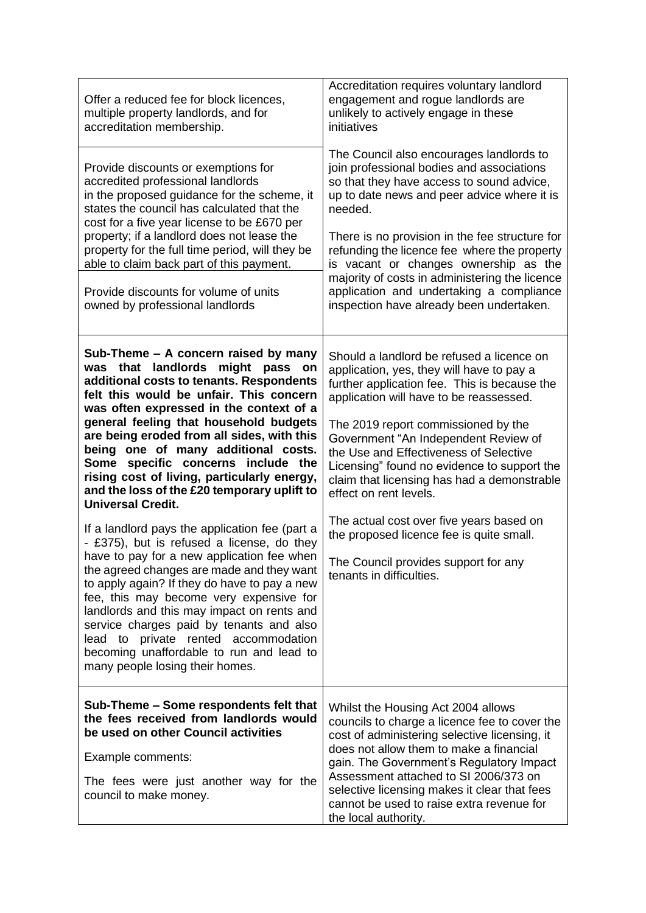| Offer a reduced fee for block licences,<br>multiple property landlords, and for<br>accreditation membership.                                                                                                                                                                                                                                                                                                                                                                                                       | Accreditation requires voluntary landlord<br>engagement and rogue landlords are<br>unlikely to actively engage in these<br>initiatives                                                                                                                                                                                                                                                                                                                                            |
|--------------------------------------------------------------------------------------------------------------------------------------------------------------------------------------------------------------------------------------------------------------------------------------------------------------------------------------------------------------------------------------------------------------------------------------------------------------------------------------------------------------------|-----------------------------------------------------------------------------------------------------------------------------------------------------------------------------------------------------------------------------------------------------------------------------------------------------------------------------------------------------------------------------------------------------------------------------------------------------------------------------------|
| Provide discounts or exemptions for<br>accredited professional landlords<br>in the proposed guidance for the scheme, it<br>states the council has calculated that the<br>cost for a five year license to be £670 per<br>property; if a landlord does not lease the<br>property for the full time period, will they be<br>able to claim back part of this payment.<br>Provide discounts for volume of units<br>owned by professional landlords                                                                      | The Council also encourages landlords to<br>join professional bodies and associations<br>so that they have access to sound advice,<br>up to date news and peer advice where it is<br>needed.<br>There is no provision in the fee structure for<br>refunding the licence fee where the property<br>is vacant or changes ownership as the<br>majority of costs in administering the licence<br>application and undertaking a compliance<br>inspection have already been undertaken. |
| Sub-Theme – A concern raised by many<br>was that landlords<br>might<br>pass<br>on<br>additional costs to tenants. Respondents<br>felt this would be unfair. This concern<br>was often expressed in the context of a<br>general feeling that household budgets<br>are being eroded from all sides, with this<br>being one of many additional costs.<br>Some specific concerns include the<br>rising cost of living, particularly energy,<br>and the loss of the £20 temporary uplift to<br><b>Universal Credit.</b> | Should a landlord be refused a licence on<br>application, yes, they will have to pay a<br>further application fee. This is because the<br>application will have to be reassessed.<br>The 2019 report commissioned by the<br>Government "An Independent Review of<br>the Use and Effectiveness of Selective<br>Licensing" found no evidence to support the<br>claim that licensing has had a demonstrable<br>effect on rent levels.                                                |
| If a landlord pays the application fee (part a<br>- £375), but is refused a license, do they<br>have to pay for a new application fee when<br>the agreed changes are made and they want<br>to apply again? If they do have to pay a new<br>fee, this may become very expensive for<br>landlords and this may impact on rents and<br>service charges paid by tenants and also<br>lead to private rented accommodation<br>becoming unaffordable to run and lead to<br>many people losing their homes.                | The actual cost over five years based on<br>the proposed licence fee is quite small.<br>The Council provides support for any<br>tenants in difficulties.                                                                                                                                                                                                                                                                                                                          |
| Sub-Theme – Some respondents felt that<br>the fees received from landlords would<br>be used on other Council activities<br>Example comments:<br>The fees were just another way for the<br>council to make money.                                                                                                                                                                                                                                                                                                   | Whilst the Housing Act 2004 allows<br>councils to charge a licence fee to cover the<br>cost of administering selective licensing, it<br>does not allow them to make a financial<br>gain. The Government's Regulatory Impact<br>Assessment attached to SI 2006/373 on<br>selective licensing makes it clear that fees<br>cannot be used to raise extra revenue for<br>the local authority.                                                                                         |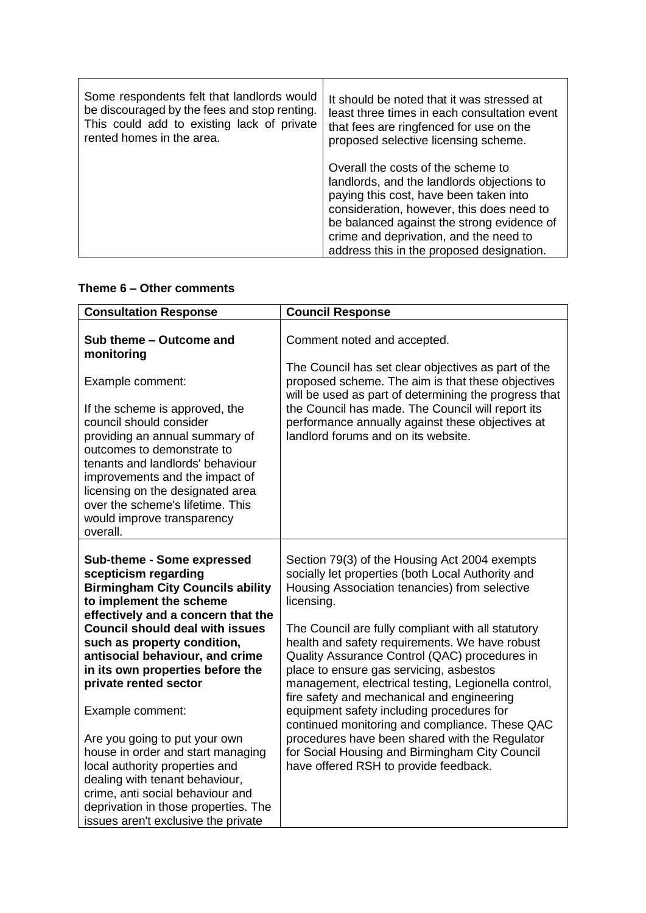| Some respondents felt that landlords would   | It should be noted that it was stressed at                                                                                                                                                                                                                                                                   |
|----------------------------------------------|--------------------------------------------------------------------------------------------------------------------------------------------------------------------------------------------------------------------------------------------------------------------------------------------------------------|
| be discouraged by the fees and stop renting. | least three times in each consultation event                                                                                                                                                                                                                                                                 |
| This could add to existing lack of private   | that fees are ringfenced for use on the                                                                                                                                                                                                                                                                      |
| rented homes in the area.                    | proposed selective licensing scheme.                                                                                                                                                                                                                                                                         |
|                                              | Overall the costs of the scheme to<br>landlords, and the landlords objections to<br>paying this cost, have been taken into<br>consideration, however, this does need to<br>be balanced against the strong evidence of<br>crime and deprivation, and the need to<br>address this in the proposed designation. |

# **Theme 6 – Other comments**

| <b>Consultation Response</b>                                                                                                                                                                                                                                                                                                                                                                                                                                                                                                                                                                                             | <b>Council Response</b>                                                                                                                                                                                                                                                                                                                                                                                                                                                                                                                                                                                                                                                                                                |
|--------------------------------------------------------------------------------------------------------------------------------------------------------------------------------------------------------------------------------------------------------------------------------------------------------------------------------------------------------------------------------------------------------------------------------------------------------------------------------------------------------------------------------------------------------------------------------------------------------------------------|------------------------------------------------------------------------------------------------------------------------------------------------------------------------------------------------------------------------------------------------------------------------------------------------------------------------------------------------------------------------------------------------------------------------------------------------------------------------------------------------------------------------------------------------------------------------------------------------------------------------------------------------------------------------------------------------------------------------|
| Sub theme - Outcome and<br>monitoring<br>Example comment:<br>If the scheme is approved, the<br>council should consider<br>providing an annual summary of<br>outcomes to demonstrate to<br>tenants and landlords' behaviour<br>improvements and the impact of<br>licensing on the designated area<br>over the scheme's lifetime. This<br>would improve transparency<br>overall.                                                                                                                                                                                                                                           | Comment noted and accepted.<br>The Council has set clear objectives as part of the<br>proposed scheme. The aim is that these objectives<br>will be used as part of determining the progress that<br>the Council has made. The Council will report its<br>performance annually against these objectives at<br>landlord forums and on its website.                                                                                                                                                                                                                                                                                                                                                                       |
| Sub-theme - Some expressed<br>scepticism regarding<br><b>Birmingham City Councils ability</b><br>to implement the scheme<br>effectively and a concern that the<br><b>Council should deal with issues</b><br>such as property condition,<br>antisocial behaviour, and crime<br>in its own properties before the<br>private rented sector<br>Example comment:<br>Are you going to put your own<br>house in order and start managing<br>local authority properties and<br>dealing with tenant behaviour,<br>crime, anti social behaviour and<br>deprivation in those properties. The<br>issues aren't exclusive the private | Section 79(3) of the Housing Act 2004 exempts<br>socially let properties (both Local Authority and<br>Housing Association tenancies) from selective<br>licensing.<br>The Council are fully compliant with all statutory<br>health and safety requirements. We have robust<br>Quality Assurance Control (QAC) procedures in<br>place to ensure gas servicing, asbestos<br>management, electrical testing, Legionella control,<br>fire safety and mechanical and engineering<br>equipment safety including procedures for<br>continued monitoring and compliance. These QAC<br>procedures have been shared with the Regulator<br>for Social Housing and Birmingham City Council<br>have offered RSH to provide feedback. |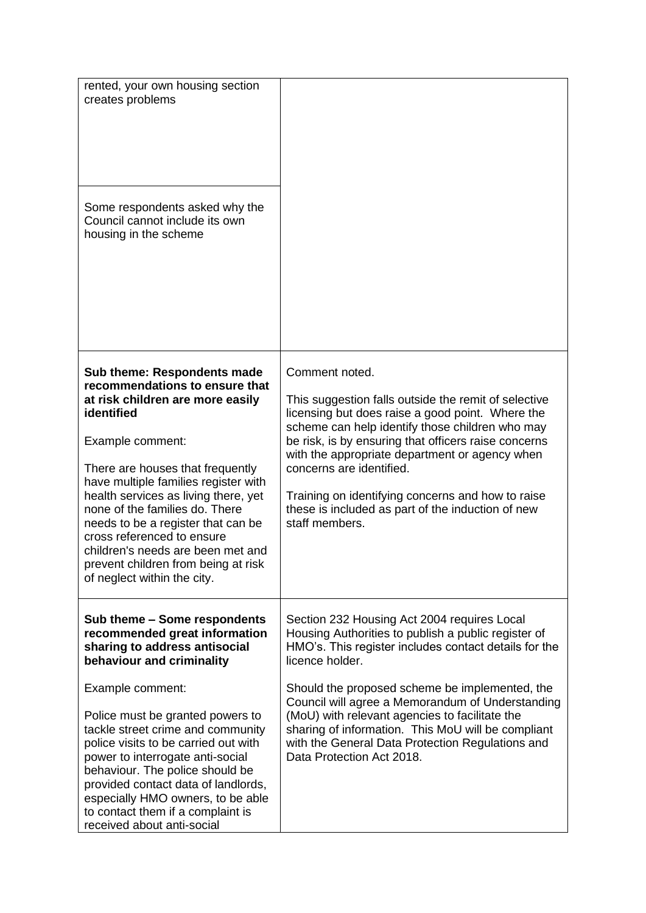| rented, your own housing section<br>creates problems<br>Some respondents asked why the<br>Council cannot include its own<br>housing in the scheme                                                                                                                                                                                                                                                                                                                               |                                                                                                                                                                                                                                                                                                                                                                                                                                                 |
|---------------------------------------------------------------------------------------------------------------------------------------------------------------------------------------------------------------------------------------------------------------------------------------------------------------------------------------------------------------------------------------------------------------------------------------------------------------------------------|-------------------------------------------------------------------------------------------------------------------------------------------------------------------------------------------------------------------------------------------------------------------------------------------------------------------------------------------------------------------------------------------------------------------------------------------------|
| <b>Sub theme: Respondents made</b><br>recommendations to ensure that<br>at risk children are more easily<br>identified<br>Example comment:<br>There are houses that frequently<br>have multiple families register with<br>health services as living there, yet<br>none of the families do. There<br>needs to be a register that can be<br>cross referenced to ensure<br>children's needs are been met and<br>prevent children from being at risk<br>of neglect within the city. | Comment noted.<br>This suggestion falls outside the remit of selective<br>licensing but does raise a good point. Where the<br>scheme can help identify those children who may<br>be risk, is by ensuring that officers raise concerns<br>with the appropriate department or agency when<br>concerns are identified.<br>Training on identifying concerns and how to raise<br>these is included as part of the induction of new<br>staff members. |
| Sub theme - Some respondents<br>recommended great information<br>sharing to address antisocial<br>behaviour and criminality                                                                                                                                                                                                                                                                                                                                                     | Section 232 Housing Act 2004 requires Local<br>Housing Authorities to publish a public register of<br>HMO's. This register includes contact details for the<br>licence holder.                                                                                                                                                                                                                                                                  |
| Example comment:<br>Police must be granted powers to<br>tackle street crime and community<br>police visits to be carried out with<br>power to interrogate anti-social<br>behaviour. The police should be<br>provided contact data of landlords,<br>especially HMO owners, to be able<br>to contact them if a complaint is<br>received about anti-social                                                                                                                         | Should the proposed scheme be implemented, the<br>Council will agree a Memorandum of Understanding<br>(MoU) with relevant agencies to facilitate the<br>sharing of information. This MoU will be compliant<br>with the General Data Protection Regulations and<br>Data Protection Act 2018.                                                                                                                                                     |